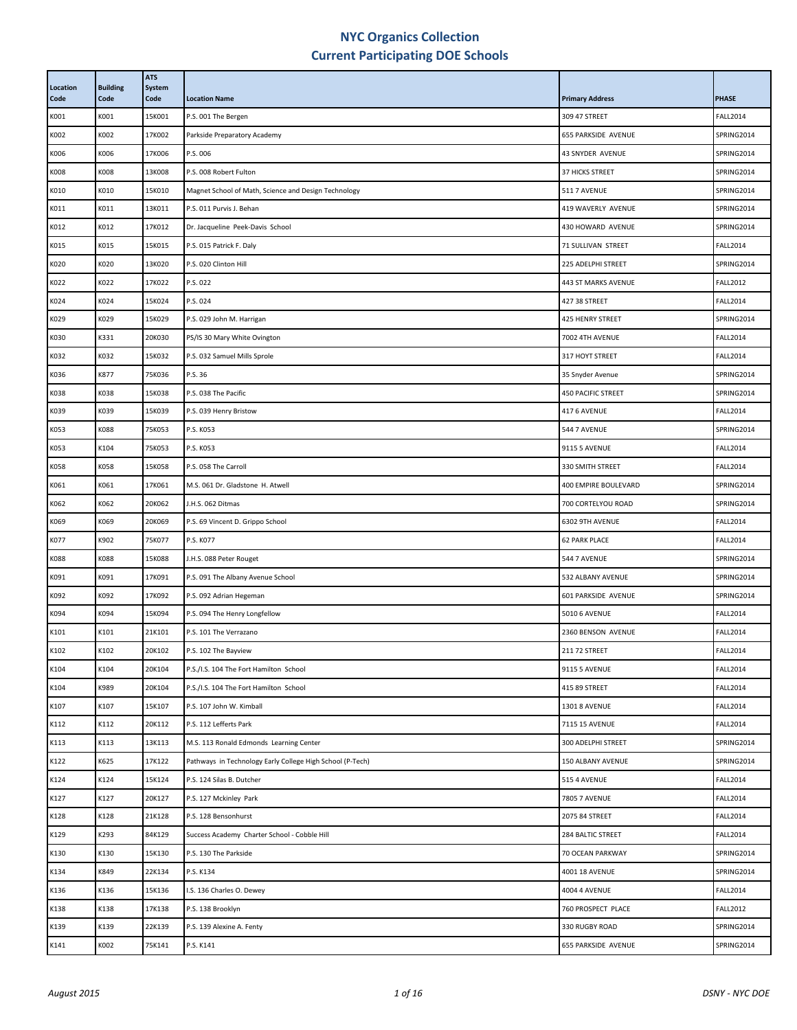| Location<br>Code | <b>Building</b><br>Code | <b>ATS</b><br>System<br>Code | <b>Location Name</b>                                      | <b>Primary Address</b>    | <b>PHASE</b>    |
|------------------|-------------------------|------------------------------|-----------------------------------------------------------|---------------------------|-----------------|
| K001             | K001                    | 15K001                       | P.S. 001 The Bergen                                       | 309 47 STREET             | <b>FALL2014</b> |
| K002             | K002                    | 17K002                       | Parkside Preparatory Academy                              | 655 PARKSIDE AVENUE       | SPRING2014      |
| K006             | K006                    | 17K006                       | P.S. 006                                                  | 43 SNYDER AVENUE          | SPRING2014      |
| K008             | K008                    | 13K008                       | P.S. 008 Robert Fulton                                    | <b>37 HICKS STREET</b>    | SPRING2014      |
| K010             | K010                    | 15K010                       | Magnet School of Math, Science and Design Technology      | <b>511 7 AVENUE</b>       | SPRING2014      |
| K011             | K011                    | 13K011                       | P.S. 011 Purvis J. Behan                                  | 419 WAVERLY AVENUE        | SPRING2014      |
| K012             | K012                    | 17K012                       | Dr. Jacqueline Peek-Davis School                          | 430 HOWARD AVENUE         | SPRING2014      |
| K015             | K015                    | 15K015                       | P.S. 015 Patrick F. Daly                                  | 71 SULLIVAN STREET        | <b>FALL2014</b> |
| K020             | K020                    | 13K020                       | P.S. 020 Clinton Hill                                     | 225 ADELPHI STREET        | SPRING2014      |
| K022             | K022                    | 17K022                       | P.S. 022                                                  | 443 ST MARKS AVENUE       | <b>FALL2012</b> |
| K024             | K024                    | 15K024                       | P.S. 024                                                  | 427 38 STREET             | <b>FALL2014</b> |
| K029             | K029                    | 15K029                       | P.S. 029 John M. Harrigan                                 | 425 HENRY STREET          | SPRING2014      |
| K030             | K331                    | 20K030                       | PS/IS 30 Mary White Ovington                              | 7002 4TH AVENUE           | <b>FALL2014</b> |
| K032             | K032                    | 15K032                       | P.S. 032 Samuel Mills Sprole                              | 317 HOYT STREET           | <b>FALL2014</b> |
| K036             | K877                    | 75K036                       | P.S. 36                                                   | 35 Snyder Avenue          | SPRING2014      |
| K038             | K038                    | 15K038                       | P.S. 038 The Pacific                                      | <b>450 PACIFIC STREET</b> | SPRING2014      |
| K039             | K039                    | 15K039                       | P.S. 039 Henry Bristow                                    | 417 6 AVENUE              | <b>FALL2014</b> |
| K053             | K088                    | 75K053                       | P.S. K053                                                 | 544 7 AVENUE              | SPRING2014      |
| K053             | K104                    | 75K053                       | P.S. K053                                                 | 9115 5 AVENUE             | <b>FALL2014</b> |
| K058             | K058                    | 15K058                       | P.S. 058 The Carroll                                      | 330 SMITH STREET          | <b>FALL2014</b> |
| K061             | K061                    | 17K061                       | M.S. 061 Dr. Gladstone H. Atwell                          | 400 EMPIRE BOULEVARD      | SPRING2014      |
| K062             | K062                    | 20K062                       | J.H.S. 062 Ditmas                                         | 700 CORTELYOU ROAD        | SPRING2014      |
| K069             | K069                    | 20K069                       | P.S. 69 Vincent D. Grippo School                          | 6302 9TH AVENUE           | <b>FALL2014</b> |
| K077             | K902                    | 75K077                       | P.S. K077                                                 | <b>62 PARK PLACE</b>      | <b>FALL2014</b> |
| K088             | K088                    | 15K088                       | J.H.S. 088 Peter Rouget                                   | 544 7 AVENUE              | SPRING2014      |
| K091             | K091                    | 17K091                       | P.S. 091 The Albany Avenue School                         | 532 ALBANY AVENUE         | SPRING2014      |
| K092             | K092                    | 17K092                       | P.S. 092 Adrian Hegeman                                   | 601 PARKSIDE AVENUE       | SPRING2014      |
| K094             | K094                    | 15K094                       | P.S. 094 The Henry Longfellow                             | <b>5010 6 AVENUE</b>      | <b>FALL2014</b> |
| K101             | K101                    | 21K101                       | P.S. 101 The Verrazano                                    | 2360 BENSON AVENUE        | <b>FALL2014</b> |
| K102             | K102                    | 20K102                       | P.S. 102 The Bayview                                      | 211 72 STREET             | <b>FALL2014</b> |
| K104             | K104                    | 20K104                       | P.S./I.S. 104 The Fort Hamilton School                    | 9115 5 AVENUE             | <b>FALL2014</b> |
| K104             | K989                    | 20K104                       | P.S./I.S. 104 The Fort Hamilton School                    | 415 89 STREET             | <b>FALL2014</b> |
| K107             | K107                    | 15K107                       | P.S. 107 John W. Kimball                                  | <b>1301 8 AVENUE</b>      | <b>FALL2014</b> |
| K112             | K112                    | 20K112                       | P.S. 112 Lefferts Park                                    | 7115 15 AVENUE            | <b>FALL2014</b> |
| K113             | K113                    | 13K113                       | M.S. 113 Ronald Edmonds Learning Center                   | 300 ADELPHI STREET        | SPRING2014      |
| K122             | K625                    | 17K122                       | Pathways in Technology Early College High School (P-Tech) | 150 ALBANY AVENUE         | SPRING2014      |
| K124             | K124                    | 15K124                       | P.S. 124 Silas B. Dutcher                                 | 515 4 AVENUE              | <b>FALL2014</b> |
| K127             | K127                    | 20K127                       | P.S. 127 Mckinley Park                                    | <b>7805 7 AVENUE</b>      | <b>FALL2014</b> |
| K128             | K128                    | 21K128                       | P.S. 128 Bensonhurst                                      | 2075 84 STREET            | <b>FALL2014</b> |
| K129             | K293                    | 84K129                       | Success Academy Charter School - Cobble Hill              | 284 BALTIC STREET         | <b>FALL2014</b> |
| K130             | K130                    | 15K130                       | P.S. 130 The Parkside                                     | 70 OCEAN PARKWAY          | SPRING2014      |
| K134             | K849                    | 22K134                       | P.S. K134                                                 | 4001 18 AVENUE            | SPRING2014      |
| K136             | K136                    | 15K136                       | I.S. 136 Charles O. Dewey                                 | <b>4004 4 AVENUE</b>      | <b>FALL2014</b> |
| K138             | K138                    | 17K138                       | P.S. 138 Brooklyn                                         | 760 PROSPECT PLACE        | <b>FALL2012</b> |
| K139             | K139                    | 22K139                       | P.S. 139 Alexine A. Fenty                                 | 330 RUGBY ROAD            | SPRING2014      |
| K141             | K002                    | 75K141                       | P.S. K141                                                 | 655 PARKSIDE AVENUE       | SPRING2014      |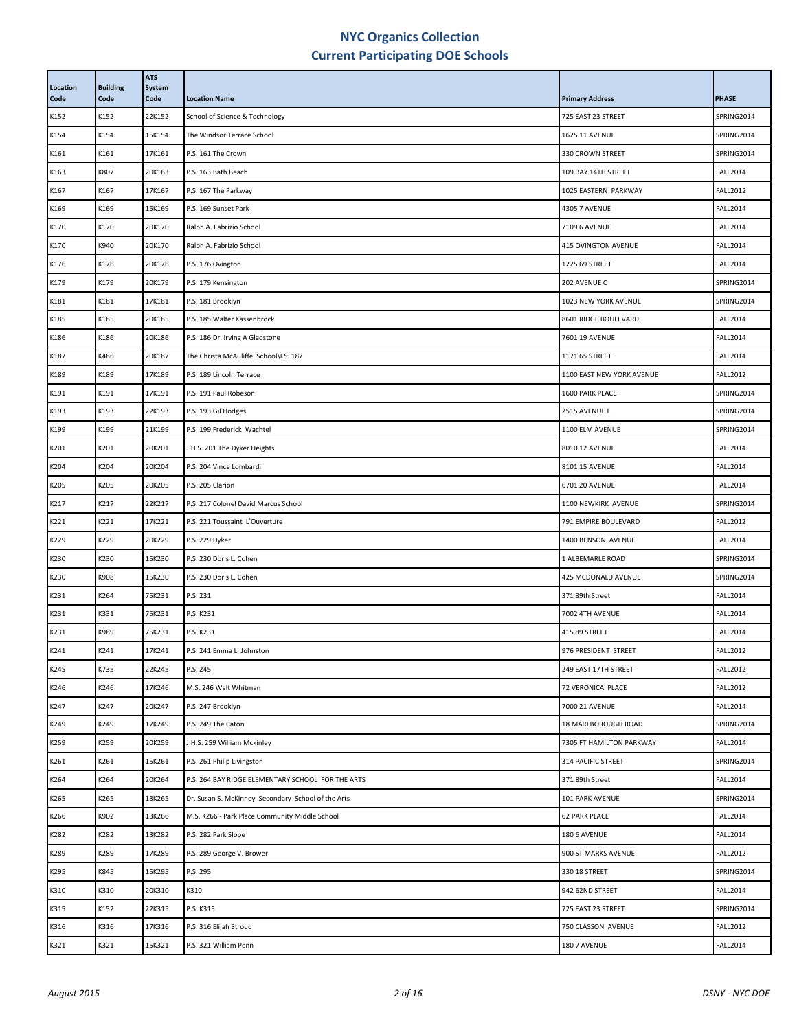| Location<br>Code | <b>Building</b><br>Code | <b>ATS</b><br>System<br>Code | <b>Location Name</b>                               | <b>Primary Address</b>    | <b>PHASE</b>    |
|------------------|-------------------------|------------------------------|----------------------------------------------------|---------------------------|-----------------|
| K152             | K152                    | 22K152                       | School of Science & Technology                     | 725 EAST 23 STREET        | SPRING2014      |
| K154             | K154                    | 15K154                       | The Windsor Terrace School                         | 1625 11 AVENUE            | SPRING2014      |
| K161             | K161                    | 17K161                       | P.S. 161 The Crown                                 | 330 CROWN STREET          | SPRING2014      |
| K163             | K807                    | 20K163                       | P.S. 163 Bath Beach                                | 109 BAY 14TH STREET       | <b>FALL2014</b> |
| K167             | K167                    | 17K167                       | P.S. 167 The Parkway                               | 1025 EASTERN PARKWAY      | <b>FALL2012</b> |
| K169             | K169                    | 15K169                       | P.S. 169 Sunset Park                               | <b>4305 7 AVENUE</b>      | <b>FALL2014</b> |
| K170             | K170                    | 20K170                       | Ralph A. Fabrizio School                           | 7109 6 AVENUE             | <b>FALL2014</b> |
| K170             | K940                    | 20K170                       | Ralph A. Fabrizio School                           | 415 OVINGTON AVENUE       | <b>FALL2014</b> |
| K176             | K176                    | 20K176                       | P.S. 176 Ovington                                  | 1225 69 STREET            | <b>FALL2014</b> |
| K179             | K179                    | 20K179                       | P.S. 179 Kensington                                | 202 AVENUE C              | SPRING2014      |
| K181             | K181                    | 17K181                       | P.S. 181 Brooklyn                                  | 1023 NEW YORK AVENUE      | SPRING2014      |
| K185             | K185                    | 20K185                       | P.S. 185 Walter Kassenbrock                        | 8601 RIDGE BOULEVARD      | <b>FALL2014</b> |
| K186             | K186                    | 20K186                       | P.S. 186 Dr. Irving A Gladstone                    | 7601 19 AVENUE            | <b>FALL2014</b> |
| K187             | K486                    | 20K187                       | The Christa McAuliffe School\I.S. 187              | 1171 65 STREET            | <b>FALL2014</b> |
| K189             | K189                    | 17K189                       | P.S. 189 Lincoln Terrace                           | 1100 EAST NEW YORK AVENUE | <b>FALL2012</b> |
| K191             | K191                    | 17K191                       | P.S. 191 Paul Robeson                              | 1600 PARK PLACE           | SPRING2014      |
| K193             | K193                    | 22K193                       | P.S. 193 Gil Hodges                                | 2515 AVENUE L             | SPRING2014      |
| K199             | K199                    | 21K199                       | P.S. 199 Frederick Wachtel                         | 1100 ELM AVENUE           | SPRING2014      |
| K201             | K201                    | 20K201                       | J.H.S. 201 The Dyker Heights                       | 8010 12 AVENUE            | <b>FALL2014</b> |
| K204             | K204                    | 20K204                       | P.S. 204 Vince Lombardi                            | 8101 15 AVENUE            | <b>FALL2014</b> |
| K205             | K205                    | 20K205                       | P.S. 205 Clarion                                   | 6701 20 AVENUE            | <b>FALL2014</b> |
| K217             | K217                    | 22K217                       | P.S. 217 Colonel David Marcus School               | 1100 NEWKIRK AVENUE       | SPRING2014      |
| K221             | K221                    | 17K221                       | P.S. 221 Toussaint L'Ouverture                     | 791 EMPIRE BOULEVARD      | <b>FALL2012</b> |
| K229             | K229                    | 20K229                       | P.S. 229 Dyker                                     | 1400 BENSON AVENUE        | <b>FALL2014</b> |
| K230             | K230                    | 15K230                       | P.S. 230 Doris L. Cohen                            | 1 ALBEMARLE ROAD          | SPRING2014      |
| K230             | K908                    | 15K230                       | P.S. 230 Doris L. Cohen                            | 425 MCDONALD AVENUE       | SPRING2014      |
| K231             | K264                    | 75K231                       | P.S. 231                                           | 371 89th Street           | <b>FALL2014</b> |
| K231             | K331                    | 75K231                       | P.S. K231                                          | 7002 4TH AVENUE           | <b>FALL2014</b> |
| K231             | K989                    | 75K231                       | P.S. K231                                          | 415 89 STREET             | <b>FALL2014</b> |
| K241             | K241                    | 17K241                       | P.S. 241 Emma L. Johnston                          | 976 PRESIDENT STREET      | <b>FALL2012</b> |
| K245             | K735                    | 22K245                       | P.S. 245                                           | 249 EAST 17TH STREET      | <b>FALL2012</b> |
| K246             | K246                    | 17K246                       | M.S. 246 Walt Whitman                              | 72 VERONICA PLACE         | <b>FALL2012</b> |
| K247             | K247                    | 20K247                       | P.S. 247 Brooklyn                                  | 7000 21 AVENUE            | <b>FALL2014</b> |
| K249             | K249                    | 17K249                       | P.S. 249 The Caton                                 | 18 MARLBOROUGH ROAD       | SPRING2014      |
| K259             | K259                    | 20K259                       | J.H.S. 259 William Mckinley                        | 7305 FT HAMILTON PARKWAY  | <b>FALL2014</b> |
| K261             | K261                    | 15K261                       | P.S. 261 Philip Livingston                         | 314 PACIFIC STREET        | SPRING2014      |
| K264             | K264                    | 20K264                       | P.S. 264 BAY RIDGE ELEMENTARY SCHOOL FOR THE ARTS  | 371 89th Street           | <b>FALL2014</b> |
| K265             | K265                    | 13K265                       | Dr. Susan S. McKinney Secondary School of the Arts | 101 PARK AVENUE           | SPRING2014      |
| K266             | K902                    | 13K266                       | M.S. K266 - Park Place Community Middle School     | <b>62 PARK PLACE</b>      | <b>FALL2014</b> |
| K282             | K282                    | 13K282                       | P.S. 282 Park Slope                                | 180 6 AVENUE              | <b>FALL2014</b> |
| K289             | K289                    | 17K289                       | P.S. 289 George V. Brower                          | 900 ST MARKS AVENUE       | <b>FALL2012</b> |
| K295             | K845                    | 15K295                       | P.S. 295                                           | 330 18 STREET             | SPRING2014      |
| K310             | K310                    | 20K310                       | K310                                               | 942 62ND STREET           | <b>FALL2014</b> |
| K315             | K152                    | 22K315                       | P.S. K315                                          | 725 EAST 23 STREET        | SPRING2014      |
| K316             | K316                    | 17K316                       | P.S. 316 Elijah Stroud                             | 750 CLASSON AVENUE        | <b>FALL2012</b> |
| K321             | K321                    | 15K321                       | P.S. 321 William Penn                              | 180 7 AVENUE              | <b>FALL2014</b> |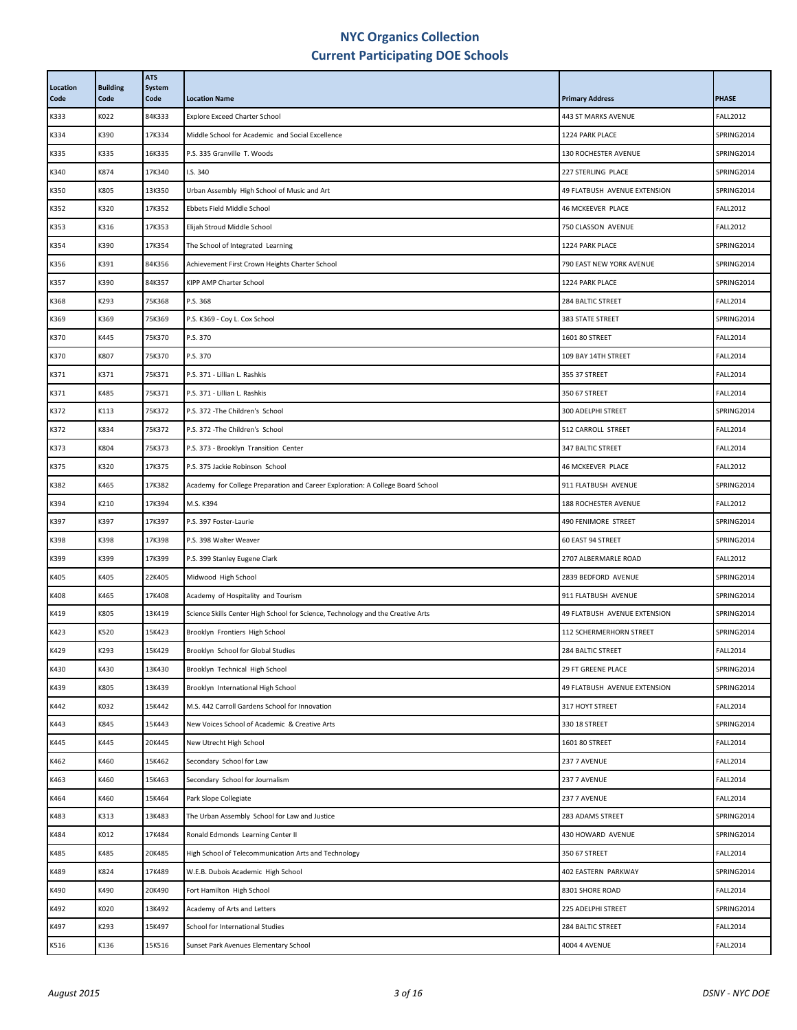| Location<br>Code | <b>Building</b><br>Code | <b>ATS</b><br>System<br>Code | <b>Location Name</b>                                                            | <b>Primary Address</b>       | <b>PHASE</b>    |
|------------------|-------------------------|------------------------------|---------------------------------------------------------------------------------|------------------------------|-----------------|
| K333             | K022                    | 84K333                       | <b>Explore Exceed Charter School</b>                                            | 443 ST MARKS AVENUE          | <b>FALL2012</b> |
| K334             | K390                    | 17K334                       | Middle School for Academic and Social Excellence                                | 1224 PARK PLACE              | SPRING2014      |
| K335             | K335                    | 16K335                       | P.S. 335 Granville T. Woods                                                     | <b>130 ROCHESTER AVENUE</b>  | SPRING2014      |
| K340             | K874                    | 17K340                       | I.S. 340                                                                        | 227 STERLING PLACE           | SPRING2014      |
| K350             | K805                    | 13K350                       | Urban Assembly High School of Music and Art                                     | 49 FLATBUSH AVENUE EXTENSION | SPRING2014      |
| K352             | K320                    | 17K352                       | Ebbets Field Middle School                                                      | 46 MCKEEVER PLACE            | <b>FALL2012</b> |
| K353             | K316                    | 17K353                       | Elijah Stroud Middle School                                                     | 750 CLASSON AVENUE           | <b>FALL2012</b> |
| K354             | K390                    | 17K354                       | The School of Integrated Learning                                               | 1224 PARK PLACE              | SPRING2014      |
| K356             | K391                    | 84K356                       | Achievement First Crown Heights Charter School                                  | 790 EAST NEW YORK AVENUE     | SPRING2014      |
| K357             | K390                    | 84K357                       | KIPP AMP Charter School                                                         | 1224 PARK PLACE              | SPRING2014      |
| K368             | K293                    | 75K368                       | P.S. 368                                                                        | 284 BALTIC STREET            | <b>FALL2014</b> |
| K369             | K369                    | 75K369                       | P.S. K369 - Coy L. Cox School                                                   | <b>383 STATE STREET</b>      | SPRING2014      |
| K370             | K445                    | 75K370                       | P.S. 370                                                                        | 1601 80 STREET               | <b>FALL2014</b> |
| K370             | K807                    | 75K370                       | P.S. 370                                                                        | 109 BAY 14TH STREET          | <b>FALL2014</b> |
| K371             | K371                    | 75K371                       | P.S. 371 - Lillian L. Rashkis                                                   | 355 37 STREET                | <b>FALL2014</b> |
| K371             | K485                    | 75K371                       | P.S. 371 - Lillian L. Rashkis                                                   | 350 67 STREET                | <b>FALL2014</b> |
| K372             | K113                    | 75K372                       | P.S. 372 - The Children's School                                                | 300 ADELPHI STREET           | SPRING2014      |
| K372             | K834                    | 75K372                       | P.S. 372 - The Children's School                                                | 512 CARROLL STREET           | <b>FALL2014</b> |
| K373             | K804                    | 75K373                       | P.S. 373 - Brooklyn Transition Center                                           | <b>347 BALTIC STREET</b>     | <b>FALL2014</b> |
| K375             | K320                    | 17K375                       | P.S. 375 Jackie Robinson School                                                 | 46 MCKEEVER PLACE            | <b>FALL2012</b> |
| K382             | K465                    | 17K382                       | Academy for College Preparation and Career Exploration: A College Board School  | 911 FLATBUSH AVENUE          | SPRING2014      |
| K394             | K210                    | 17K394                       | M.S. K394                                                                       | 188 ROCHESTER AVENUE         | <b>FALL2012</b> |
| K397             | K397                    | 17K397                       | P.S. 397 Foster-Laurie                                                          | 490 FENIMORE STREET          | SPRING2014      |
| K398             | K398                    | 17K398                       | P.S. 398 Walter Weaver                                                          | 60 EAST 94 STREET            | SPRING2014      |
| K399             | K399                    | 17K399                       | P.S. 399 Stanley Eugene Clark                                                   | 2707 ALBERMARLE ROAD         | <b>FALL2012</b> |
| K405             | K405                    | 22K405                       | Midwood High School                                                             | 2839 BEDFORD AVENUE          | SPRING2014      |
| K408             | K465                    | 17K408                       | Academy of Hospitality and Tourism                                              | 911 FLATBUSH AVENUE          | SPRING2014      |
| K419             | K805                    | 13K419                       | Science Skills Center High School for Science, Technology and the Creative Arts | 49 FLATBUSH AVENUE EXTENSION | SPRING2014      |
| K423             | K520                    | 15K423                       | Brooklyn Frontiers High School                                                  | 112 SCHERMERHORN STREET      | SPRING2014      |
| K429             | K293                    | 15K429                       | Brooklyn School for Global Studies                                              | 284 BALTIC STREET            | <b>FALL2014</b> |
| K430             | K430                    | 13K430                       | Brooklyn Technical High School                                                  | 29 FT GREENE PLACE           | SPRING2014      |
| K439             | K805                    | 13K439                       | Brooklyn International High School                                              | 49 FLATBUSH AVENUE EXTENSION | SPRING2014      |
| K442             | K032                    | 15K442                       | M.S. 442 Carroll Gardens School for Innovation                                  | 317 HOYT STREET              | <b>FALL2014</b> |
| K443             | K845                    | 15K443                       | New Voices School of Academic & Creative Arts                                   | 330 18 STREET                | SPRING2014      |
| K445             | K445                    | 20K445                       | New Utrecht High School                                                         | 1601 80 STREET               | <b>FALL2014</b> |
| K462             | K460                    | 15K462                       | Secondary School for Law                                                        | 237 7 AVENUE                 | <b>FALL2014</b> |
| K463             | K460                    | 15K463                       | Secondary School for Journalism                                                 | 237 7 AVENUE                 | <b>FALL2014</b> |
| K464             | K460                    | 15K464                       | Park Slope Collegiate                                                           | 237 7 AVENUE                 | <b>FALL2014</b> |
| K483             | K313                    | 13K483                       | The Urban Assembly School for Law and Justice                                   | 283 ADAMS STREET             | SPRING2014      |
| K484             | K012                    | 17K484                       | Ronald Edmonds Learning Center II                                               | 430 HOWARD AVENUE            | SPRING2014      |
| K485             | K485                    | 20K485                       | High School of Telecommunication Arts and Technology                            | 350 67 STREET                | <b>FALL2014</b> |
| K489             | K824                    | 17K489                       | W.E.B. Dubois Academic High School                                              | 402 EASTERN PARKWAY          | SPRING2014      |
| K490             | K490                    | 20K490                       | Fort Hamilton High School                                                       | 8301 SHORE ROAD              | <b>FALL2014</b> |
| K492             | K020                    | 13K492                       | Academy of Arts and Letters                                                     | 225 ADELPHI STREET           | SPRING2014      |
| K497             | K293                    | 15K497                       | School for International Studies                                                | 284 BALTIC STREET            | <b>FALL2014</b> |
| K516             | K136                    | 15K516                       | Sunset Park Avenues Elementary School                                           | <b>4004 4 AVENUE</b>         | <b>FALL2014</b> |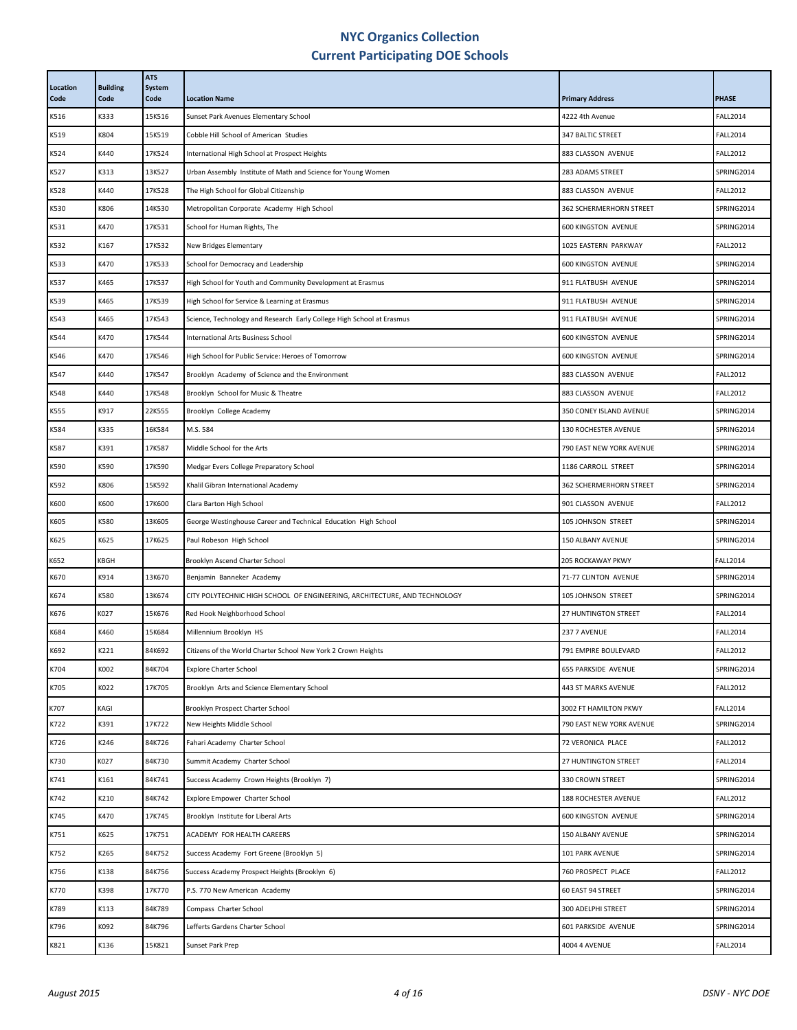| Location<br>Code | <b>Building</b><br>Code | <b>ATS</b><br>System<br>Code | <b>Location Name</b>                                                      | <b>Primary Address</b>      | <b>PHASE</b>    |
|------------------|-------------------------|------------------------------|---------------------------------------------------------------------------|-----------------------------|-----------------|
| K516             | K333                    | 15K516                       | Sunset Park Avenues Elementary School                                     | 4222 4th Avenue             | <b>FALL2014</b> |
| K519             | K804                    | 15K519                       | Cobble Hill School of American Studies                                    | 347 BALTIC STREET           | <b>FALL2014</b> |
| K524             | K440                    | 17K524                       | International High School at Prospect Heights                             | 883 CLASSON AVENUE          | <b>FALL2012</b> |
| K527             | K313                    | 13K527                       | Urban Assembly Institute of Math and Science for Young Women              | 283 ADAMS STREET            | SPRING2014      |
| K528             | K440                    | 17K528                       | The High School for Global Citizenship                                    | 883 CLASSON AVENUE          | <b>FALL2012</b> |
| K530             | K806                    | 14K530                       | Metropolitan Corporate Academy High School                                | 362 SCHERMERHORN STREET     | SPRING2014      |
| K531             | K470                    | 17K531                       | School for Human Rights, The                                              | <b>600 KINGSTON AVENUE</b>  | SPRING2014      |
| K532             | K167                    | 17K532                       | New Bridges Elementary                                                    | 1025 EASTERN PARKWAY        | <b>FALL2012</b> |
| K533             | K470                    | 17K533                       | School for Democracy and Leadership                                       | <b>600 KINGSTON AVENUE</b>  | SPRING2014      |
| K537             | K465                    | 17K537                       | High School for Youth and Community Development at Erasmus                | 911 FLATBUSH AVENUE         | SPRING2014      |
| K539             | K465                    | 17K539                       | High School for Service & Learning at Erasmus                             | 911 FLATBUSH AVENUE         | SPRING2014      |
| K543             | K465                    | 17K543                       | Science, Technology and Research Early College High School at Erasmus     | 911 FLATBUSH AVENUE         | SPRING2014      |
| K544             | K470                    | 17K544                       | International Arts Business School                                        | <b>600 KINGSTON AVENUE</b>  | SPRING2014      |
| K546             | K470                    | 17K546                       | High School for Public Service: Heroes of Tomorrow                        | <b>600 KINGSTON AVENUE</b>  | SPRING2014      |
| K547             | K440                    | 17K547                       | Brooklyn Academy of Science and the Environment                           | 883 CLASSON AVENUE          | <b>FALL2012</b> |
| K548             | K440                    | 17K548                       | Brooklyn School for Music & Theatre                                       | 883 CLASSON AVENUE          | <b>FALL2012</b> |
| K555             | K917                    | 22K555                       | Brooklyn College Academy                                                  | 350 CONEY ISLAND AVENUE     | SPRING2014      |
| K584             | K335                    | 16K584                       | M.S. 584                                                                  | 130 ROCHESTER AVENUE        | SPRING2014      |
| K587             | K391                    | 17K587                       | Middle School for the Arts                                                | 790 EAST NEW YORK AVENUE    | SPRING2014      |
| K590             | K590                    | 17K590                       | Medgar Evers College Preparatory School                                   | 1186 CARROLL STREET         | SPRING2014      |
| K592             | K806                    | 15K592                       | Khalil Gibran International Academy                                       | 362 SCHERMERHORN STREET     | SPRING2014      |
| K600             | K600                    | 17K600                       | Clara Barton High School                                                  | 901 CLASSON AVENUE          | <b>FALL2012</b> |
| K605             | K580                    | 13K605                       | George Westinghouse Career and Technical Education High School            | 105 JOHNSON STREET          | SPRING2014      |
| K625             | K625                    | 17K625                       | Paul Robeson High School                                                  | 150 ALBANY AVENUE           | SPRING2014      |
| K652             | KBGH                    |                              | Brooklyn Ascend Charter School                                            | 205 ROCKAWAY PKWY           | <b>FALL2014</b> |
| K670             | K914                    | 13K670                       | Benjamin Banneker Academy                                                 | 71-77 CLINTON AVENUE        | SPRING2014      |
| K674             | K580                    | 13K674                       | CITY POLYTECHNIC HIGH SCHOOL OF ENGINEERING, ARCHITECTURE, AND TECHNOLOGY | 105 JOHNSON STREET          | SPRING2014      |
| K676             | K027                    | 15K676                       | Red Hook Neighborhood School                                              | <b>27 HUNTINGTON STREET</b> | <b>FALL2014</b> |
| K684             | K460                    | 15K684                       | Millennium Brooklyn HS                                                    | 237 7 AVENUE                | <b>FALL2014</b> |
| K692             | K221                    | 84K692                       | Citizens of the World Charter School New York 2 Crown Heights             | 791 EMPIRE BOULEVARD        | <b>FALL2012</b> |
| K704             | K002                    | 84K704                       | <b>Explore Charter School</b>                                             | 655 PARKSIDE AVENUE         | SPRING2014      |
| K705             | K022                    | 17K705                       | Brooklyn Arts and Science Elementary School                               | 443 ST MARKS AVENUE         | <b>FALL2012</b> |
| K707             | KAGI                    |                              | Brooklyn Prospect Charter School                                          | 3002 FT HAMILTON PKWY       | <b>FALL2014</b> |
| K722             | K391                    | 17K722                       | New Heights Middle School                                                 | 790 EAST NEW YORK AVENUE    | SPRING2014      |
| K726             | K246                    | 84K726                       | Fahari Academy Charter School                                             | <b>72 VERONICA PLACE</b>    | <b>FALL2012</b> |
| K730             | K027                    | 84K730                       | Summit Academy Charter School                                             | 27 HUNTINGTON STREET        | <b>FALL2014</b> |
| K741             | K161                    | 84K741                       | Success Academy Crown Heights (Brooklyn 7)                                | 330 CROWN STREET            | SPRING2014      |
| K742             | K210                    | 84K742                       | Explore Empower Charter School                                            | 188 ROCHESTER AVENUE        | <b>FALL2012</b> |
| K745             | K470                    | 17K745                       | Brooklyn Institute for Liberal Arts                                       | <b>600 KINGSTON AVENUE</b>  | SPRING2014      |
| K751             | K625                    | 17K751                       | ACADEMY FOR HEALTH CAREERS                                                | 150 ALBANY AVENUE           | SPRING2014      |
| K752             | K265                    | 84K752                       | Success Academy Fort Greene (Brooklyn 5)                                  | 101 PARK AVENUE             | SPRING2014      |
| K756             | K138                    | 84K756                       | Success Academy Prospect Heights (Brooklyn 6)                             | 760 PROSPECT PLACE          | <b>FALL2012</b> |
| K770             | K398                    | 17K770                       | P.S. 770 New American Academy                                             | 60 EAST 94 STREET           | SPRING2014      |
| K789             | K113                    | 84K789                       | Compass Charter School                                                    | 300 ADELPHI STREET          | SPRING2014      |
| K796             | K092                    | 84K796                       | Lefferts Gardens Charter School                                           | 601 PARKSIDE AVENUE         | SPRING2014      |
| K821             | K136                    | 15K821                       | Sunset Park Prep                                                          | <b>4004 4 AVENUE</b>        | <b>FALL2014</b> |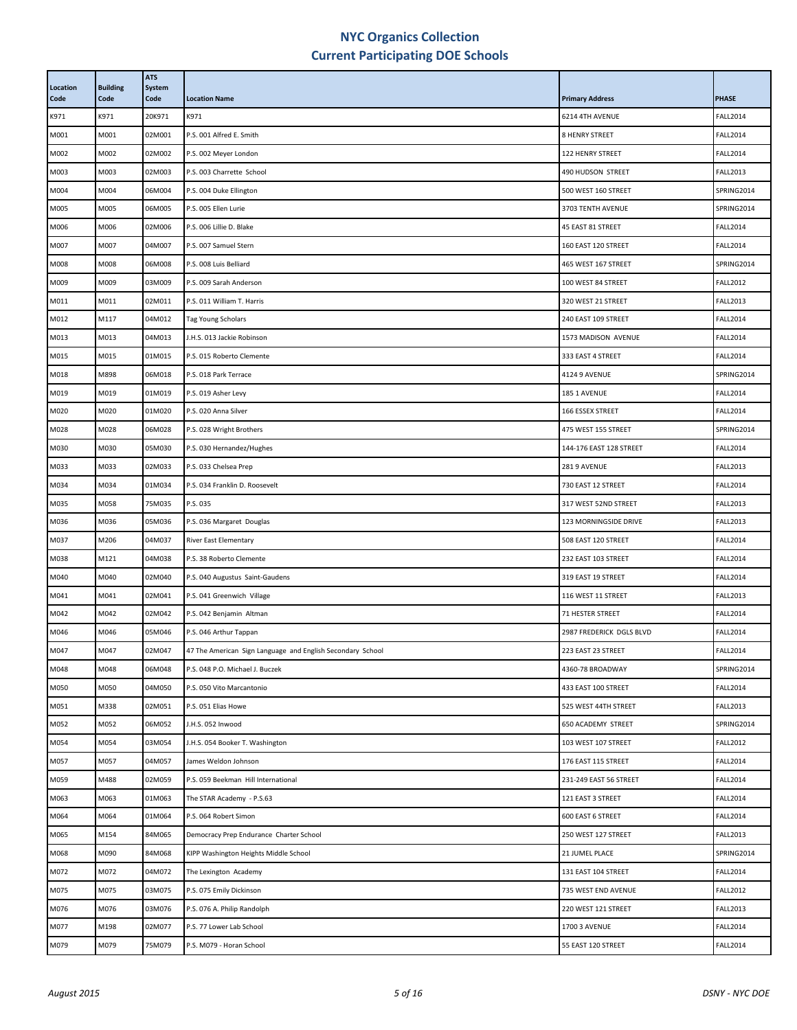| Location<br>Code | <b>Building</b><br>Code | <b>ATS</b><br><b>System</b><br>Code | <b>Location Name</b>                                       | <b>Primary Address</b>   | <b>PHASE</b>    |
|------------------|-------------------------|-------------------------------------|------------------------------------------------------------|--------------------------|-----------------|
| K971             | K971                    | 20K971                              | K971                                                       | 6214 4TH AVENUE          | <b>FALL2014</b> |
| M001             | M001                    | 02M001                              | P.S. 001 Alfred E. Smith                                   | <b>8 HENRY STREET</b>    | <b>FALL2014</b> |
| M002             | M002                    | 02M002                              | P.S. 002 Meyer London                                      | 122 HENRY STREET         | <b>FALL2014</b> |
| M003             | M003                    | 02M003                              | P.S. 003 Charrette School                                  | 490 HUDSON STREET        | <b>FALL2013</b> |
| M004             | M004                    | 06M004                              | P.S. 004 Duke Ellington                                    | 500 WEST 160 STREET      | SPRING2014      |
| M005             | M005                    | 06M005                              | P.S. 005 Ellen Lurie                                       | 3703 TENTH AVENUE        | SPRING2014      |
| M006             | M006                    | 02M006                              | P.S. 006 Lillie D. Blake                                   | 45 EAST 81 STREET        | <b>FALL2014</b> |
| M007             | M007                    | 04M007                              | P.S. 007 Samuel Stern                                      | 160 EAST 120 STREET      | <b>FALL2014</b> |
| M008             | M008                    | 06M008                              | P.S. 008 Luis Belliard                                     | 465 WEST 167 STREET      | SPRING2014      |
| M009             | M009                    | 03M009                              | P.S. 009 Sarah Anderson                                    | 100 WEST 84 STREET       | <b>FALL2012</b> |
| M011             | M011                    | 02M011                              | P.S. 011 William T. Harris                                 | 320 WEST 21 STREET       | <b>FALL2013</b> |
| M012             | M117                    | 04M012                              | Tag Young Scholars                                         | 240 EAST 109 STREET      | <b>FALL2014</b> |
| M013             | M013                    | 04M013                              | J.H.S. 013 Jackie Robinson                                 | 1573 MADISON AVENUE      | <b>FALL2014</b> |
| M015             | M015                    | 01M015                              | P.S. 015 Roberto Clemente                                  | 333 EAST 4 STREET        | <b>FALL2014</b> |
| M018             | M898                    | 06M018                              | P.S. 018 Park Terrace                                      | <b>4124 9 AVENUE</b>     | SPRING2014      |
| M019             | M019                    | 01M019                              | P.S. 019 Asher Levy                                        | 185 1 AVENUE             | <b>FALL2014</b> |
| M020             | M020                    | 01M020                              | P.S. 020 Anna Silver                                       | 166 ESSEX STREET         | <b>FALL2014</b> |
| M028             | M028                    | 06M028                              | P.S. 028 Wright Brothers                                   | 475 WEST 155 STREET      | SPRING2014      |
| M030             | M030                    | 05M030                              | P.S. 030 Hernandez/Hughes                                  | 144-176 EAST 128 STREET  | <b>FALL2014</b> |
| M033             | M033                    | 02M033                              | P.S. 033 Chelsea Prep                                      | 281 9 AVENUE             | <b>FALL2013</b> |
| M034             | M034                    | 01M034                              | P.S. 034 Franklin D. Roosevelt                             | 730 EAST 12 STREET       | <b>FALL2014</b> |
| M035             | M058                    | 75M035                              | P.S. 035                                                   | 317 WEST 52ND STREET     | <b>FALL2013</b> |
| M036             | M036                    | 05M036                              | P.S. 036 Margaret Douglas                                  | 123 MORNINGSIDE DRIVE    | <b>FALL2013</b> |
| M037             | M206                    | 04M037                              | <b>River East Elementary</b>                               | 508 EAST 120 STREET      | <b>FALL2014</b> |
| M038             | M121                    | 04M038                              | P.S. 38 Roberto Clemente                                   | 232 EAST 103 STREET      | <b>FALL2014</b> |
| M040             | M040                    | 02M040                              | P.S. 040 Augustus Saint-Gaudens                            | 319 EAST 19 STREET       | <b>FALL2014</b> |
| M041             | M041                    | 02M041                              | P.S. 041 Greenwich Village                                 | 116 WEST 11 STREET       | <b>FALL2013</b> |
| M042             | M042                    | 02M042                              | P.S. 042 Benjamin Altman                                   | 71 HESTER STREET         | <b>FALL2014</b> |
| M046             | M046                    | 05M046                              | P.S. 046 Arthur Tappan                                     | 2987 FREDERICK DGLS BLVD | <b>FALL2014</b> |
| M047             | M047                    | 02M047                              | 47 The American Sign Language and English Secondary School | 223 EAST 23 STREET       | <b>FALL2014</b> |
| M048             | M048                    | 06M048                              | P.S. 048 P.O. Michael J. Buczek                            | 4360-78 BROADWAY         | SPRING2014      |
| M050             | M050                    | 04M050                              | P.S. 050 Vito Marcantonio                                  | 433 EAST 100 STREET      | <b>FALL2014</b> |
| M051             | M338                    | 02M051                              | P.S. 051 Elias Howe                                        | 525 WEST 44TH STREET     | <b>FALL2013</b> |
| M052             | M052                    | 06M052                              | J.H.S. 052 Inwood                                          | 650 ACADEMY STREET       | SPRING2014      |
| M054             | M054                    | 03M054                              | J.H.S. 054 Booker T. Washington                            | 103 WEST 107 STREET      | <b>FALL2012</b> |
| M057             | M057                    | 04M057                              | James Weldon Johnson                                       | 176 EAST 115 STREET      | <b>FALL2014</b> |
| M059             | M488                    | 02M059                              | P.S. 059 Beekman Hill International                        | 231-249 EAST 56 STREET   | <b>FALL2014</b> |
| M063             | M063                    | 01M063                              | The STAR Academy - P.S.63                                  | 121 EAST 3 STREET        | <b>FALL2014</b> |
| M064             | M064                    | 01M064                              | P.S. 064 Robert Simon                                      | 600 EAST 6 STREET        | <b>FALL2014</b> |
| M065             | M154                    | 84M065                              | Democracy Prep Endurance Charter School                    | 250 WEST 127 STREET      | <b>FALL2013</b> |
| M068             | M090                    | 84M068                              | KIPP Washington Heights Middle School                      | 21 JUMEL PLACE           | SPRING2014      |
| M072             | M072                    | 04M072                              | The Lexington Academy                                      | 131 EAST 104 STREET      | <b>FALL2014</b> |
| M075             | M075                    | 03M075                              | P.S. 075 Emily Dickinson                                   | 735 WEST END AVENUE      | <b>FALL2012</b> |
| M076             | M076                    | 03M076                              | P.S. 076 A. Philip Randolph                                | 220 WEST 121 STREET      | <b>FALL2013</b> |
| M077             | M198                    | 02M077                              | P.S. 77 Lower Lab School                                   | 1700 3 AVENUE            | <b>FALL2014</b> |
| M079             | M079                    | 75M079                              | P.S. M079 - Horan School                                   | 55 EAST 120 STREET       | <b>FALL2014</b> |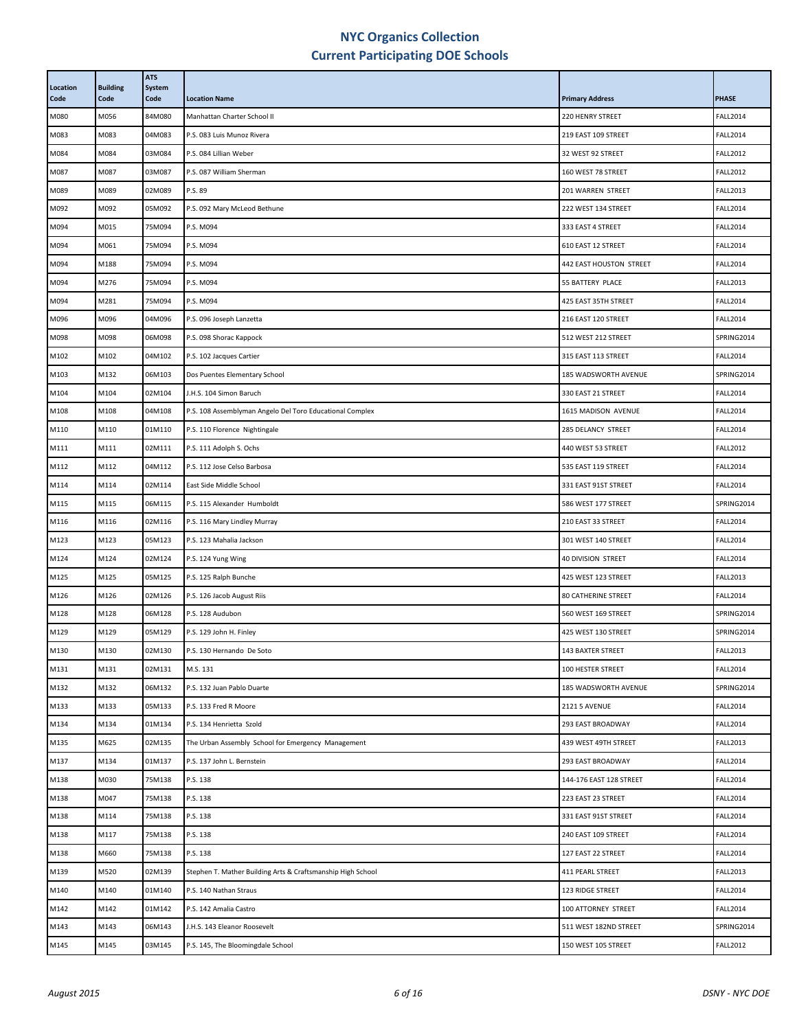| Location<br>Code | <b>Building</b><br>Code | <b>ATS</b><br>System<br>Code | <b>Location Name</b>                                        | <b>Primary Address</b>     | <b>PHASE</b>    |
|------------------|-------------------------|------------------------------|-------------------------------------------------------------|----------------------------|-----------------|
| M080             | M056                    | 84M080                       | Manhattan Charter School II                                 | 220 HENRY STREET           | <b>FALL2014</b> |
| M083             | M083                    | 04M083                       | P.S. 083 Luis Munoz Rivera                                  | 219 EAST 109 STREET        | <b>FALL2014</b> |
| M084             | M084                    | 03M084                       | P.S. 084 Lillian Weber                                      | 32 WEST 92 STREET          | <b>FALL2012</b> |
| M087             | M087                    | 03M087                       | P.S. 087 William Sherman                                    | 160 WEST 78 STREET         | <b>FALL2012</b> |
| M089             | M089                    | 02M089                       | P.S. 89                                                     | 201 WARREN STREET          | <b>FALL2013</b> |
| M092             | M092                    | 05M092                       | P.S. 092 Mary McLeod Bethune                                | 222 WEST 134 STREET        | <b>FALL2014</b> |
| M094             | M015                    | 75M094                       | P.S. M094                                                   | 333 EAST 4 STREET          | <b>FALL2014</b> |
| M094             | M061                    | 75M094                       | P.S. M094                                                   | 610 EAST 12 STREET         | <b>FALL2014</b> |
| M094             | M188                    | 75M094                       | P.S. M094                                                   | 442 EAST HOUSTON STREET    | <b>FALL2014</b> |
| M094             | M276                    | 75M094                       | P.S. M094                                                   | 55 BATTERY PLACE           | <b>FALL2013</b> |
| M094             | M281                    | 75M094                       | P.S. M094                                                   | 425 EAST 35TH STREET       | <b>FALL2014</b> |
| M096             | M096                    | 04M096                       | P.S. 096 Joseph Lanzetta                                    | 216 EAST 120 STREET        | <b>FALL2014</b> |
| M098             | M098                    | 06M098                       | P.S. 098 Shorac Kappock                                     | 512 WEST 212 STREET        | SPRING2014      |
| M102             | M102                    | 04M102                       | P.S. 102 Jacques Cartier                                    | 315 EAST 113 STREET        | <b>FALL2014</b> |
| M103             | M132                    | 06M103                       | Dos Puentes Elementary School                               | 185 WADSWORTH AVENUE       | SPRING2014      |
| M104             | M104                    | 02M104                       | J.H.S. 104 Simon Baruch                                     | 330 EAST 21 STREET         | <b>FALL2014</b> |
| M108             | M108                    | 04M108                       | P.S. 108 Assemblyman Angelo Del Toro Educational Complex    | 1615 MADISON AVENUE        | <b>FALL2014</b> |
| M110             | M110                    | 01M110                       | P.S. 110 Florence Nightingale                               | 285 DELANCY STREET         | <b>FALL2014</b> |
| M111             | M111                    | 02M111                       | P.S. 111 Adolph S. Ochs                                     | 440 WEST 53 STREET         | <b>FALL2012</b> |
| M112             | M112                    | 04M112                       | P.S. 112 Jose Celso Barbosa                                 | 535 EAST 119 STREET        | <b>FALL2014</b> |
| M114             | M114                    | 02M114                       | East Side Middle School                                     | 331 EAST 91ST STREET       | <b>FALL2014</b> |
| M115             | M115                    | 06M115                       | P.S. 115 Alexander Humboldt                                 | 586 WEST 177 STREET        | SPRING2014      |
| M116             | M116                    | 02M116                       | P.S. 116 Mary Lindley Murray                                | 210 EAST 33 STREET         | <b>FALL2014</b> |
| M123             | M123                    | 05M123                       | P.S. 123 Mahalia Jackson                                    | 301 WEST 140 STREET        | <b>FALL2014</b> |
| M124             | M124                    | 02M124                       | P.S. 124 Yung Wing                                          | 40 DIVISION STREET         | <b>FALL2014</b> |
| M125             | M125                    | 05M125                       | P.S. 125 Ralph Bunche                                       | 425 WEST 123 STREET        | <b>FALL2013</b> |
| M126             | M126                    | 02M126                       | P.S. 126 Jacob August Riis                                  | <b>80 CATHERINE STREET</b> | <b>FALL2014</b> |
| M128             | M128                    | 06M128                       | P.S. 128 Audubon                                            | 560 WEST 169 STREET        | SPRING2014      |
| M129             | M129                    | 05M129                       | P.S. 129 John H. Finley                                     | 425 WEST 130 STREET        | SPRING2014      |
| M130             | M130                    | 02M130                       | P.S. 130 Hernando De Soto                                   | <b>143 BAXTER STREET</b>   | <b>FALL2013</b> |
| M131             | M131                    | 02M131                       | M.S. 131                                                    | 100 HESTER STREET          | <b>FALL2014</b> |
| M132             | M132                    | 06M132                       | P.S. 132 Juan Pablo Duarte                                  | 185 WADSWORTH AVENUE       | SPRING2014      |
| M133             | M133                    | 05M133                       | P.S. 133 Fred R Moore                                       | <b>2121 5 AVENUE</b>       | <b>FALL2014</b> |
| M134             | M134                    | 01M134                       | P.S. 134 Henrietta Szold                                    | 293 EAST BROADWAY          | <b>FALL2014</b> |
| M135             | M625                    | 02M135                       | The Urban Assembly School for Emergency Management          | 439 WEST 49TH STREET       | <b>FALL2013</b> |
| M137             | M134                    | 01M137                       | P.S. 137 John L. Bernstein                                  | 293 EAST BROADWAY          | <b>FALL2014</b> |
| M138             | M030                    | 75M138                       | P.S. 138                                                    | 144-176 EAST 128 STREET    | <b>FALL2014</b> |
| M138             | M047                    | 75M138                       | P.S. 138                                                    | 223 EAST 23 STREET         | <b>FALL2014</b> |
| M138             | M114                    | 75M138                       | P.S. 138                                                    | 331 EAST 91ST STREET       | <b>FALL2014</b> |
| M138             | M117                    | 75M138                       | P.S. 138                                                    | 240 EAST 109 STREET        | <b>FALL2014</b> |
| M138             | M660                    | 75M138                       | P.S. 138                                                    | 127 EAST 22 STREET         | <b>FALL2014</b> |
| M139             | M520                    | 02M139                       | Stephen T. Mather Building Arts & Craftsmanship High School | 411 PEARL STREET           | <b>FALL2013</b> |
| M140             | M140                    | 01M140                       | P.S. 140 Nathan Straus                                      | 123 RIDGE STREET           | <b>FALL2014</b> |
| M142             | M142                    | 01M142                       | P.S. 142 Amalia Castro                                      | 100 ATTORNEY STREET        | <b>FALL2014</b> |
| M143             | M143                    | 06M143                       | J.H.S. 143 Eleanor Roosevelt                                | 511 WEST 182ND STREET      | SPRING2014      |
| M145             | M145                    | 03M145                       | P.S. 145, The Bloomingdale School                           | 150 WEST 105 STREET        | <b>FALL2012</b> |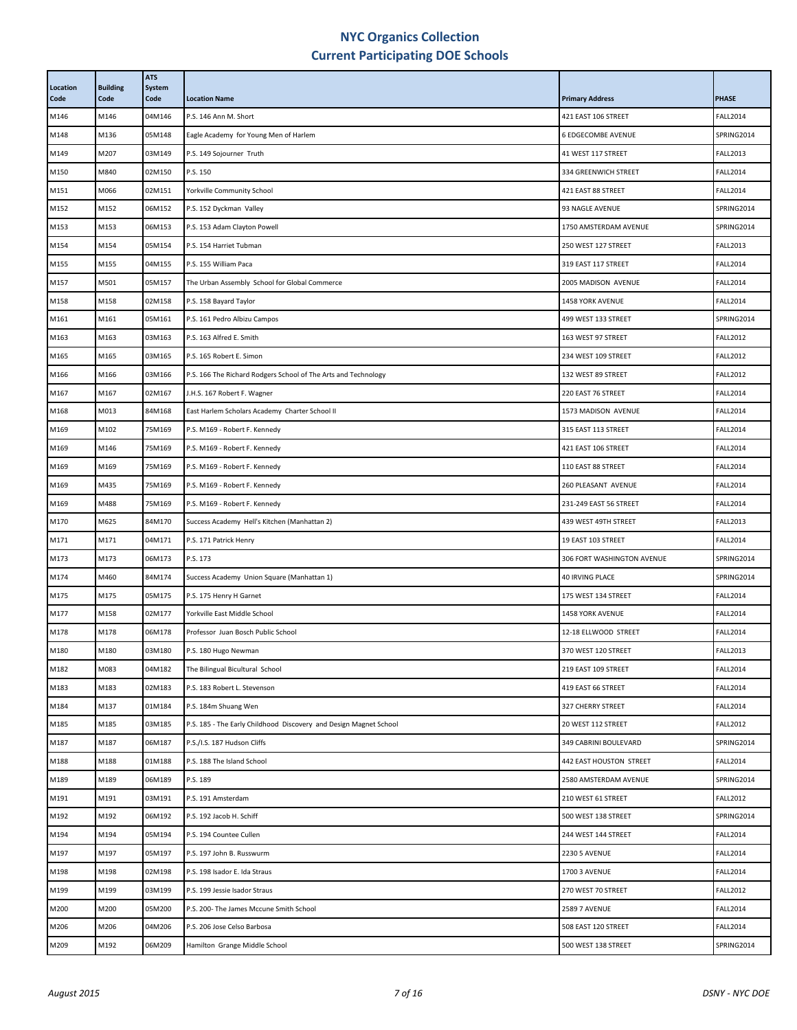| Location<br>Code | <b>Building</b><br>Code | <b>ATS</b><br><b>System</b><br>Code | <b>Location Name</b>                                              | <b>Primary Address</b>     | <b>PHASE</b>    |
|------------------|-------------------------|-------------------------------------|-------------------------------------------------------------------|----------------------------|-----------------|
| M146             | M146                    | 04M146                              | P.S. 146 Ann M. Short                                             | 421 EAST 106 STREET        | <b>FALL2014</b> |
| M148             | M136                    | 05M148                              | Eagle Academy for Young Men of Harlem                             | <b>6 EDGECOMBE AVENUE</b>  | SPRING2014      |
| M149             | M207                    | 03M149                              | P.S. 149 Sojourner Truth                                          | 41 WEST 117 STREET         | <b>FALL2013</b> |
| M150             | M840                    | 02M150                              | P.S. 150                                                          | 334 GREENWICH STREET       | <b>FALL2014</b> |
| M151             | M066                    | 02M151                              | Yorkville Community School                                        | 421 EAST 88 STREET         | <b>FALL2014</b> |
| M152             | M152                    | 06M152                              | P.S. 152 Dyckman Valley                                           | 93 NAGLE AVENUE            | SPRING2014      |
| M153             | M153                    | 06M153                              | P.S. 153 Adam Clayton Powell                                      | 1750 AMSTERDAM AVENUE      | SPRING2014      |
| M154             | M154                    | 05M154                              | P.S. 154 Harriet Tubman                                           | 250 WEST 127 STREET        | <b>FALL2013</b> |
| M155             | M155                    | 04M155                              | P.S. 155 William Paca                                             | 319 EAST 117 STREET        | <b>FALL2014</b> |
| M157             | M501                    | 05M157                              | The Urban Assembly School for Global Commerce                     | 2005 MADISON AVENUE        | <b>FALL2014</b> |
| M158             | M158                    | 02M158                              | P.S. 158 Bayard Taylor                                            | 1458 YORK AVENUE           | <b>FALL2014</b> |
| M161             | M161                    | 05M161                              | P.S. 161 Pedro Albizu Campos                                      | 499 WEST 133 STREET        | SPRING2014      |
| M163             | M163                    | 03M163                              | P.S. 163 Alfred E. Smith                                          | 163 WEST 97 STREET         | <b>FALL2012</b> |
| M165             | M165                    | 03M165                              | P.S. 165 Robert E. Simon                                          | 234 WEST 109 STREET        | <b>FALL2012</b> |
| M166             | M166                    | 03M166                              | P.S. 166 The Richard Rodgers School of The Arts and Technology    | 132 WEST 89 STREET         | <b>FALL2012</b> |
| M167             | M167                    | 02M167                              | J.H.S. 167 Robert F. Wagner                                       | 220 EAST 76 STREET         | <b>FALL2014</b> |
| M168             | M013                    | 84M168                              | East Harlem Scholars Academy Charter School II                    | 1573 MADISON AVENUE        | <b>FALL2014</b> |
| M169             | M102                    | 75M169                              | P.S. M169 - Robert F. Kennedy                                     | 315 EAST 113 STREET        | <b>FALL2014</b> |
| M169             | M146                    | 75M169                              | P.S. M169 - Robert F. Kennedy                                     | 421 EAST 106 STREET        | <b>FALL2014</b> |
| M169             | M169                    | 75M169                              | P.S. M169 - Robert F. Kennedy                                     | 110 EAST 88 STREET         | <b>FALL2014</b> |
| M169             | M435                    | 75M169                              | P.S. M169 - Robert F. Kennedy                                     | 260 PLEASANT AVENUE        | <b>FALL2014</b> |
| M169             | M488                    | 75M169                              | P.S. M169 - Robert F. Kennedy                                     | 231-249 EAST 56 STREET     | <b>FALL2014</b> |
| M170             | M625                    | 84M170                              | Success Academy Hell's Kitchen (Manhattan 2)                      | 439 WEST 49TH STREET       | <b>FALL2013</b> |
| M171             | M171                    | 04M171                              | P.S. 171 Patrick Henry                                            | 19 EAST 103 STREET         | <b>FALL2014</b> |
| M173             | M173                    | 06M173                              | P.S. 173                                                          | 306 FORT WASHINGTON AVENUE | SPRING2014      |
| M174             | M460                    | 84M174                              | Success Academy Union Square (Manhattan 1)                        | <b>40 IRVING PLACE</b>     | SPRING2014      |
| M175             | M175                    | 05M175                              | P.S. 175 Henry H Garnet                                           | 175 WEST 134 STREET        | <b>FALL2014</b> |
| M177             | M158                    | 02M177                              | Yorkville East Middle School                                      | 1458 YORK AVENUE           | <b>FALL2014</b> |
| M178             | M178                    | 06M178                              | Professor Juan Bosch Public School                                | 12-18 ELLWOOD STREET       | <b>FALL2014</b> |
| M180             | M180                    | 03M180                              | P.S. 180 Hugo Newman                                              | 370 WEST 120 STREET        | <b>FALL2013</b> |
| M182             | M083                    | 04M182                              | The Bilingual Bicultural School                                   | 219 EAST 109 STREET        | <b>FALL2014</b> |
| M183             | M183                    | 02M183                              | P.S. 183 Robert L. Stevenson                                      | 419 EAST 66 STREET         | <b>FALL2014</b> |
| M184             | M137                    | 01M184                              | P.S. 184m Shuang Wen                                              | 327 CHERRY STREET          | <b>FALL2014</b> |
| M185             | M185                    | 03M185                              | P.S. 185 - The Early Childhood Discovery and Design Magnet School | 20 WEST 112 STREET         | <b>FALL2012</b> |
| M187             | M187                    | 06M187                              | P.S./I.S. 187 Hudson Cliffs                                       | 349 CABRINI BOULEVARD      | SPRING2014      |
| M188             | M188                    | 01M188                              | P.S. 188 The Island School                                        | 442 EAST HOUSTON STREET    | <b>FALL2014</b> |
| M189             | M189                    | 06M189                              | P.S. 189                                                          | 2580 AMSTERDAM AVENUE      | SPRING2014      |
| M191             | M191                    | 03M191                              | P.S. 191 Amsterdam                                                | 210 WEST 61 STREET         | <b>FALL2012</b> |
| M192             | M192                    | 06M192                              | P.S. 192 Jacob H. Schiff                                          | 500 WEST 138 STREET        | SPRING2014      |
| M194             | M194                    | 05M194                              | P.S. 194 Countee Cullen                                           | 244 WEST 144 STREET        | <b>FALL2014</b> |
| M197             | M197                    | 05M197                              | P.S. 197 John B. Russwurm                                         | <b>2230 5 AVENUE</b>       | <b>FALL2014</b> |
| M198             | M198                    | 02M198                              | P.S. 198 Isador E. Ida Straus                                     | 1700 3 AVENUE              | <b>FALL2014</b> |
| M199             | M199                    | 03M199                              | P.S. 199 Jessie Isador Straus                                     | 270 WEST 70 STREET         | <b>FALL2012</b> |
| M200             | M200                    | 05M200                              | P.S. 200- The James Mccune Smith School                           | <b>2589 7 AVENUE</b>       | <b>FALL2014</b> |
| M206             | M206                    | 04M206                              | P.S. 206 Jose Celso Barbosa                                       | 508 EAST 120 STREET        | <b>FALL2014</b> |
| M209             | M192                    | 06M209                              | Hamilton Grange Middle School                                     | 500 WEST 138 STREET        | SPRING2014      |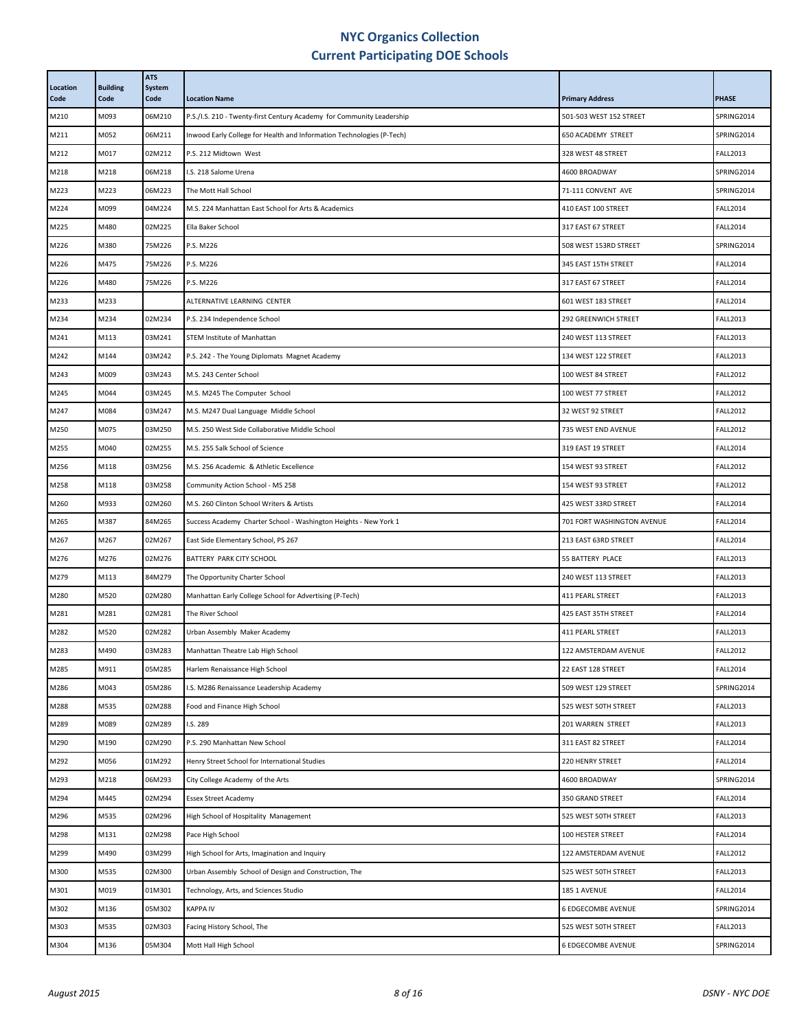| Location<br>Code | <b>Building</b><br>Code | <b>ATS</b><br><b>System</b><br>Code | <b>Location Name</b>                                                  | <b>Primary Address</b>     | <b>PHASE</b>    |
|------------------|-------------------------|-------------------------------------|-----------------------------------------------------------------------|----------------------------|-----------------|
| M210             | M093                    | 06M210                              | P.S./I.S. 210 - Twenty-first Century Academy for Community Leadership | 501-503 WEST 152 STREET    | SPRING2014      |
| M211             | M052                    | 06M211                              | Inwood Early College for Health and Information Technologies (P-Tech) | 650 ACADEMY STREET         | SPRING2014      |
| M212             | M017                    | 02M212                              | P.S. 212 Midtown West                                                 | 328 WEST 48 STREET         | <b>FALL2013</b> |
| M218             | M218                    | 06M218                              | I.S. 218 Salome Urena                                                 | 4600 BROADWAY              | SPRING2014      |
| M223             | M223                    | 06M223                              | The Mott Hall School                                                  | 71-111 CONVENT AVE         | SPRING2014      |
| M224             | M099                    | 04M224                              | M.S. 224 Manhattan East School for Arts & Academics                   | 410 EAST 100 STREET        | <b>FALL2014</b> |
| M225             | M480                    | 02M225                              | Ella Baker School                                                     | 317 EAST 67 STREET         | <b>FALL2014</b> |
| M226             | M380                    | 75M226                              | P.S. M226                                                             | 508 WEST 153RD STREET      | SPRING2014      |
| M226             | M475                    | 75M226                              | P.S. M226                                                             | 345 EAST 15TH STREET       | <b>FALL2014</b> |
| M226             | M480                    | 75M226                              | P.S. M226                                                             | 317 EAST 67 STREET         | <b>FALL2014</b> |
| M233             | M233                    |                                     | ALTERNATIVE LEARNING CENTER                                           | 601 WEST 183 STREET        | <b>FALL2014</b> |
| M234             | M234                    | 02M234                              | P.S. 234 Independence School                                          | 292 GREENWICH STREET       | <b>FALL2013</b> |
| M241             | M113                    | 03M241                              | STEM Institute of Manhattan                                           | 240 WEST 113 STREET        | <b>FALL2013</b> |
| M242             | M144                    | 03M242                              | P.S. 242 - The Young Diplomats Magnet Academy                         | 134 WEST 122 STREET        | <b>FALL2013</b> |
| M243             | M009                    | 03M243                              | M.S. 243 Center School                                                | 100 WEST 84 STREET         | <b>FALL2012</b> |
| M245             | M044                    | 03M245                              | M.S. M245 The Computer School                                         | 100 WEST 77 STREET         | <b>FALL2012</b> |
| M247             | M084                    | 03M247                              | M.S. M247 Dual Language Middle School                                 | 32 WEST 92 STREET          | <b>FALL2012</b> |
| M250             | M075                    | 03M250                              | M.S. 250 West Side Collaborative Middle School                        | 735 WEST END AVENUE        | <b>FALL2012</b> |
| M255             | M040                    | 02M255                              | M.S. 255 Salk School of Science                                       | 319 EAST 19 STREET         | <b>FALL2014</b> |
| M256             | M118                    | 03M256                              | M.S. 256 Academic & Athletic Excellence                               | 154 WEST 93 STREET         | <b>FALL2012</b> |
| M258             | M118                    | 03M258                              | Community Action School - MS 258                                      | 154 WEST 93 STREET         | <b>FALL2012</b> |
| M260             | M933                    | 02M260                              | M.S. 260 Clinton School Writers & Artists                             | 425 WEST 33RD STREET       | <b>FALL2014</b> |
| M265             | M387                    | 84M265                              | Success Academy Charter School - Washington Heights - New York 1      | 701 FORT WASHINGTON AVENUE | <b>FALL2014</b> |
| M267             | M267                    | 02M267                              | East Side Elementary School, PS 267                                   | 213 EAST 63RD STREET       | <b>FALL2014</b> |
| M276             | M276                    | 02M276                              | BATTERY PARK CITY SCHOOL                                              | 55 BATTERY PLACE           | <b>FALL2013</b> |
| M279             | M113                    | 84M279                              | The Opportunity Charter School                                        | 240 WEST 113 STREET        | <b>FALL2013</b> |
| M280             | M520                    | 02M280                              | Manhattan Early College School for Advertising (P-Tech)               | 411 PEARL STREET           | <b>FALL2013</b> |
| M281             | M281                    | 02M281                              | The River School                                                      | 425 EAST 35TH STREET       | <b>FALL2014</b> |
| M282             | M520                    | 02M282                              | Urban Assembly Maker Academy                                          | 411 PEARL STREET           | <b>FALL2013</b> |
| M283             | M490                    | 03M283                              | Manhattan Theatre Lab High School                                     | 122 AMSTERDAM AVENUE       | <b>FALL2012</b> |
| M285             | M911                    | 05M285                              | Harlem Renaissance High School                                        | 22 EAST 128 STREET         | <b>FALL2014</b> |
| M286             | M043                    | 05M286                              | I.S. M286 Renaissance Leadership Academy                              | 509 WEST 129 STREET        | SPRING2014      |
| M288             | M535                    | 02M288                              | Food and Finance High School                                          | 525 WEST 50TH STREET       | <b>FALL2013</b> |
| M289             | M089                    | 02M289                              | I.S. 289                                                              | 201 WARREN STREET          | <b>FALL2013</b> |
| M290             | M190                    | 02M290                              | P.S. 290 Manhattan New School                                         | 311 EAST 82 STREET         | <b>FALL2014</b> |
| M292             | M056                    | 01M292                              | Henry Street School for International Studies                         | 220 HENRY STREET           | <b>FALL2014</b> |
| M293             | M218                    | 06M293                              | City College Academy of the Arts                                      | 4600 BROADWAY              | SPRING2014      |
| M294             | M445                    | 02M294                              | <b>Essex Street Academy</b>                                           | 350 GRAND STREET           | <b>FALL2014</b> |
| M296             | M535                    | 02M296                              | High School of Hospitality Management                                 | 525 WEST 50TH STREET       | <b>FALL2013</b> |
| M298             | M131                    | 02M298                              | Pace High School                                                      | 100 HESTER STREET          | <b>FALL2014</b> |
| M299             | M490                    | 03M299                              | High School for Arts, Imagination and Inquiry                         | 122 AMSTERDAM AVENUE       | <b>FALL2012</b> |
| M300             | M535                    | 02M300                              | Urban Assembly School of Design and Construction, The                 | 525 WEST 50TH STREET       | <b>FALL2013</b> |
| M301             | M019                    | 01M301                              | Technology, Arts, and Sciences Studio                                 | 185 1 AVENUE               | <b>FALL2014</b> |
| M302             | M136                    | 05M302                              | <b>KAPPA IV</b>                                                       | <b>6 EDGECOMBE AVENUE</b>  | SPRING2014      |
| M303             | M535                    | 02M303                              | Facing History School, The                                            | 525 WEST 50TH STREET       | <b>FALL2013</b> |
| M304             | M136                    | 05M304                              | Mott Hall High School                                                 | 6 EDGECOMBE AVENUE         | SPRING2014      |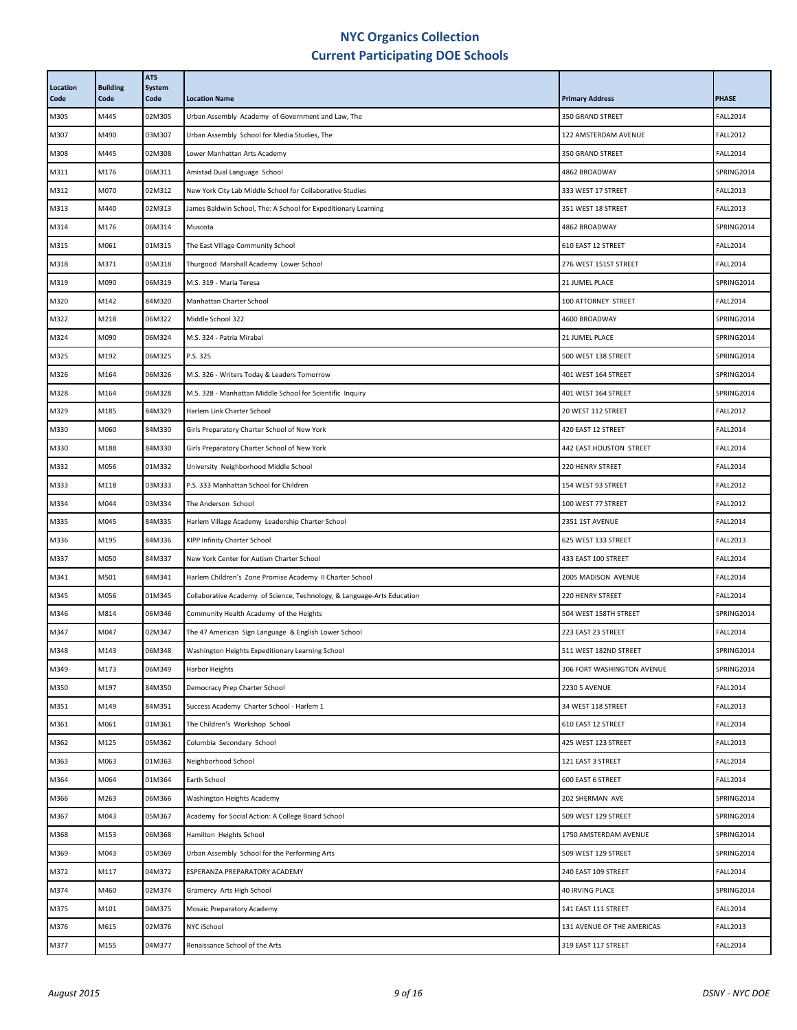| Location<br>Code | <b>Building</b><br>Code | <b>ATS</b><br>System<br>Code | <b>Location Name</b>                                                    | <b>Primary Address</b>     | <b>PHASE</b>    |
|------------------|-------------------------|------------------------------|-------------------------------------------------------------------------|----------------------------|-----------------|
| M305             | M445                    | 02M305                       | Urban Assembly Academy of Government and Law, The                       | 350 GRAND STREET           | <b>FALL2014</b> |
| M307             | M490                    | 03M307                       | Urban Assembly School for Media Studies, The                            | 122 AMSTERDAM AVENUE       | <b>FALL2012</b> |
| M308             | M445                    | 02M308                       | Lower Manhattan Arts Academy                                            | 350 GRAND STREET           | <b>FALL2014</b> |
| M311             | M176                    | 06M311                       | Amistad Dual Language School                                            | 4862 BROADWAY              | SPRING2014      |
| M312             | M070                    | 02M312                       | New York City Lab Middle School for Collaborative Studies               | 333 WEST 17 STREET         | <b>FALL2013</b> |
| M313             | M440                    | 02M313                       | James Baldwin School, The: A School for Expeditionary Learning          | 351 WEST 18 STREET         | <b>FALL2013</b> |
| M314             | M176                    | 06M314                       | Muscota                                                                 | 4862 BROADWAY              | SPRING2014      |
| M315             | M061                    | 01M315                       | The East Village Community School                                       | 610 EAST 12 STREET         | <b>FALL2014</b> |
| M318             | M371                    | 05M318                       | Thurgood Marshall Academy Lower School                                  | 276 WEST 151ST STREET      | <b>FALL2014</b> |
| M319             | M090                    | 06M319                       | M.S. 319 - Maria Teresa                                                 | 21 JUMEL PLACE             | SPRING2014      |
| M320             | M142                    | 84M320                       | Manhattan Charter School                                                | 100 ATTORNEY STREET        | <b>FALL2014</b> |
| M322             | M218                    | 06M322                       | Middle School 322                                                       | 4600 BROADWAY              | SPRING2014      |
| M324             | M090                    | 06M324                       | M.S. 324 - Patria Mirabal                                               | 21 JUMEL PLACE             | SPRING2014      |
| M325             | M192                    | 06M325                       | P.S. 325                                                                | 500 WEST 138 STREET        | SPRING2014      |
| M326             | M164                    | 06M326                       | M.S. 326 - Writers Today & Leaders Tomorrow                             | 401 WEST 164 STREET        | SPRING2014      |
| M328             | M164                    | 06M328                       | M.S. 328 - Manhattan Middle School for Scientific Inquiry               | 401 WEST 164 STREET        | SPRING2014      |
| M329             | M185                    | 84M329                       | Harlem Link Charter School                                              | 20 WEST 112 STREET         | <b>FALL2012</b> |
| M330             | M060                    | 84M330                       | Girls Preparatory Charter School of New York                            | 420 EAST 12 STREET         | <b>FALL2014</b> |
| M330             | M188                    | 84M330                       | Girls Preparatory Charter School of New York                            | 442 EAST HOUSTON STREET    | <b>FALL2014</b> |
| M332             | M056                    | 01M332                       | University Neighborhood Middle School                                   | 220 HENRY STREET           | <b>FALL2014</b> |
| M333             | M118                    | 03M333                       | P.S. 333 Manhattan School for Children                                  | 154 WEST 93 STREET         | <b>FALL2012</b> |
| M334             | M044                    | 03M334                       | The Anderson School                                                     | 100 WEST 77 STREET         | <b>FALL2012</b> |
| M335             | M045                    | 84M335                       | Harlem Village Academy Leadership Charter School                        | 2351 1ST AVENUE            | <b>FALL2014</b> |
| M336             | M195                    | 84M336                       | KIPP Infinity Charter School                                            | 625 WEST 133 STREET        | <b>FALL2013</b> |
| M337             | M050                    | 84M337                       | New York Center for Autism Charter School                               | 433 EAST 100 STREET        | <b>FALL2014</b> |
| M341             | M501                    | 84M341                       | Harlem Children's Zone Promise Academy II Charter School                | 2005 MADISON AVENUE        | <b>FALL2014</b> |
| M345             | M056                    | 01M345                       | Collaborative Academy of Science, Technology, & Language-Arts Education | 220 HENRY STREET           | <b>FALL2014</b> |
| M346             | M814                    | 06M346                       | Community Health Academy of the Heights                                 | 504 WEST 158TH STREET      | SPRING2014      |
| M347             | M047                    | 02M347                       | The 47 American Sign Language & English Lower School                    | 223 EAST 23 STREET         | <b>FALL2014</b> |
| M348             | M143                    | 06M348                       | Washington Heights Expeditionary Learning School                        | 511 WEST 182ND STREET      | SPRING2014      |
| M349             | M173                    | 06M349                       | Harbor Heights                                                          | 306 FORT WASHINGTON AVENUE | SPRING2014      |
| M350             | M197                    | 84M350                       | Democracy Prep Charter School                                           | <b>2230 5 AVENUE</b>       | <b>FALL2014</b> |
| M351             | M149                    | 84M351                       | Success Academy Charter School - Harlem 1                               | 34 WEST 118 STREET         | <b>FALL2013</b> |
| M361             | M061                    | 01M361                       | The Children's Workshop School                                          | 610 EAST 12 STREET         | <b>FALL2014</b> |
| M362             | M125                    | 05M362                       | Columbia Secondary School                                               | 425 WEST 123 STREET        | <b>FALL2013</b> |
| M363             | M063                    | 01M363                       | Neighborhood School                                                     | 121 EAST 3 STREET          | <b>FALL2014</b> |
| M364             | M064                    | 01M364                       | Earth School                                                            | 600 EAST 6 STREET          | <b>FALL2014</b> |
| M366             | M263                    | 06M366                       | Washington Heights Academy                                              | 202 SHERMAN AVE            | SPRING2014      |
| M367             | M043                    | 05M367                       | Academy for Social Action: A College Board School                       | 509 WEST 129 STREET        | SPRING2014      |
| M368             | M153                    | 06M368                       | Hamilton Heights School                                                 | 1750 AMSTERDAM AVENUE      | SPRING2014      |
| M369             | M043                    | 05M369                       | Urban Assembly School for the Performing Arts                           | 509 WEST 129 STREET        | SPRING2014      |
| M372             | M117                    | 04M372                       | ESPERANZA PREPARATORY ACADEMY                                           | 240 EAST 109 STREET        | <b>FALL2014</b> |
| M374             | M460                    | 02M374                       | Gramercy Arts High School                                               | 40 IRVING PLACE            | SPRING2014      |
| M375             | M101                    | 04M375                       | Mosaic Preparatory Academy                                              | 141 EAST 111 STREET        | <b>FALL2014</b> |
| M376             | M615                    | 02M376                       | NYC iSchool                                                             | 131 AVENUE OF THE AMERICAS | <b>FALL2013</b> |
| M377             | M155                    | 04M377                       | Renaissance School of the Arts                                          | 319 EAST 117 STREET        | <b>FALL2014</b> |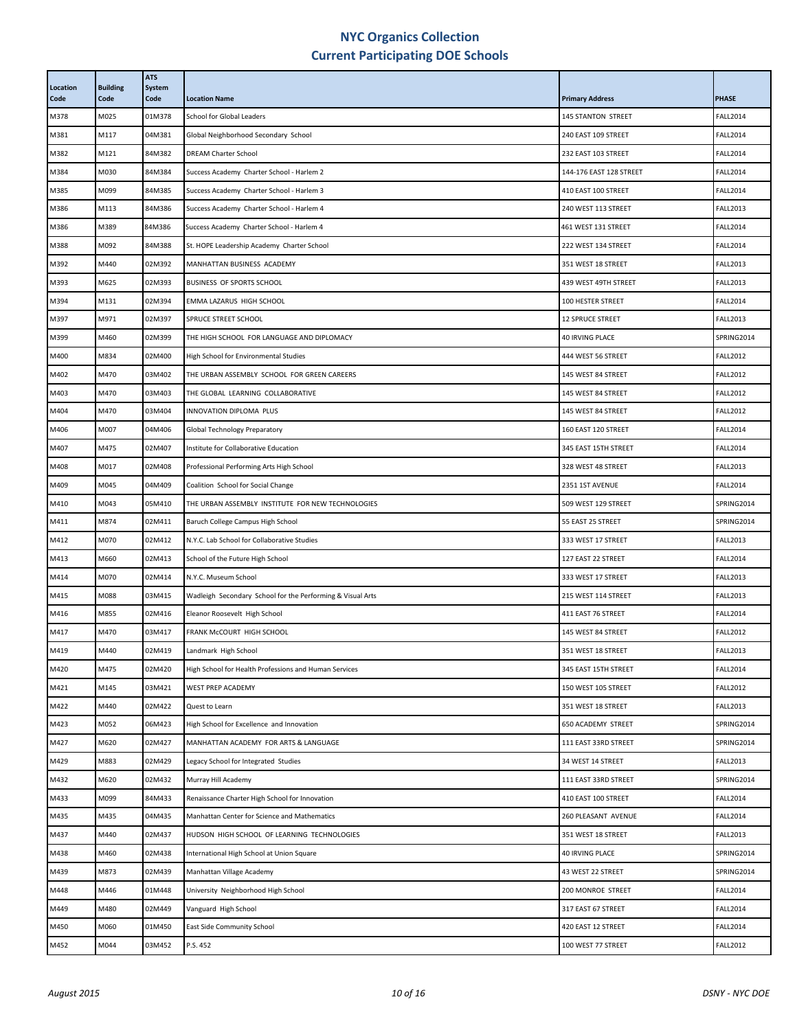| Location<br>Code | <b>Building</b><br>Code | <b>ATS</b><br><b>System</b><br>Code | <b>Location Name</b>                                       | <b>Primary Address</b>    | <b>PHASE</b>    |
|------------------|-------------------------|-------------------------------------|------------------------------------------------------------|---------------------------|-----------------|
| M378             | M025                    | 01M378                              | <b>School for Global Leaders</b>                           | <b>145 STANTON STREET</b> | <b>FALL2014</b> |
| M381             | M117                    | 04M381                              | Global Neighborhood Secondary School                       | 240 EAST 109 STREET       | <b>FALL2014</b> |
| M382             | M121                    | 84M382                              | <b>DREAM Charter School</b>                                | 232 EAST 103 STREET       | <b>FALL2014</b> |
| M384             | M030                    | 84M384                              | Success Academy Charter School - Harlem 2                  | 144-176 EAST 128 STREET   | <b>FALL2014</b> |
| M385             | M099                    | 84M385                              | Success Academy Charter School - Harlem 3                  | 410 EAST 100 STREET       | <b>FALL2014</b> |
| M386             | M113                    | 84M386                              | Success Academy Charter School - Harlem 4                  | 240 WEST 113 STREET       | <b>FALL2013</b> |
| M386             | M389                    | 84M386                              | Success Academy Charter School - Harlem 4                  | 461 WEST 131 STREET       | <b>FALL2014</b> |
| M388             | M092                    | 84M388                              | St. HOPE Leadership Academy Charter School                 | 222 WEST 134 STREET       | <b>FALL2014</b> |
| M392             | M440                    | 02M392                              | MANHATTAN BUSINESS ACADEMY                                 | 351 WEST 18 STREET        | <b>FALL2013</b> |
| M393             | M625                    | 02M393                              | BUSINESS OF SPORTS SCHOOL                                  | 439 WEST 49TH STREET      | <b>FALL2013</b> |
| M394             | M131                    | 02M394                              | EMMA LAZARUS HIGH SCHOOL                                   | 100 HESTER STREET         | <b>FALL2014</b> |
| M397             | M971                    | 02M397                              | SPRUCE STREET SCHOOL                                       | <b>12 SPRUCE STREET</b>   | <b>FALL2013</b> |
| M399             | M460                    | 02M399                              | THE HIGH SCHOOL FOR LANGUAGE AND DIPLOMACY                 | <b>40 IRVING PLACE</b>    | SPRING2014      |
| M400             | M834                    | 02M400                              | High School for Environmental Studies                      | 444 WEST 56 STREET        | <b>FALL2012</b> |
| M402             | M470                    | 03M402                              | THE URBAN ASSEMBLY SCHOOL FOR GREEN CAREERS                | 145 WEST 84 STREET        | <b>FALL2012</b> |
| M403             | M470                    | 03M403                              | THE GLOBAL LEARNING COLLABORATIVE                          | 145 WEST 84 STREET        | <b>FALL2012</b> |
| M404             | M470                    | 03M404                              | INNOVATION DIPLOMA PLUS                                    | 145 WEST 84 STREET        | <b>FALL2012</b> |
| M406             | M007                    | 04M406                              | Global Technology Preparatory                              | 160 EAST 120 STREET       | <b>FALL2014</b> |
| M407             | M475                    | 02M407                              | Institute for Collaborative Education                      | 345 EAST 15TH STREET      | <b>FALL2014</b> |
| M408             | M017                    | 02M408                              | Professional Performing Arts High School                   | 328 WEST 48 STREET        | <b>FALL2013</b> |
| M409             | M045                    | 04M409                              | Coalition School for Social Change                         | 2351 1ST AVENUE           | <b>FALL2014</b> |
| M410             | M043                    | 05M410                              | THE URBAN ASSEMBLY INSTITUTE FOR NEW TECHNOLOGIES          | 509 WEST 129 STREET       | SPRING2014      |
| M411             | M874                    | 02M411                              | Baruch College Campus High School                          | 55 EAST 25 STREET         | SPRING2014      |
| M412             | M070                    | 02M412                              | N.Y.C. Lab School for Collaborative Studies                | 333 WEST 17 STREET        | <b>FALL2013</b> |
| M413             | M660                    | 02M413                              | School of the Future High School                           | 127 EAST 22 STREET        | <b>FALL2014</b> |
| M414             | M070                    | 02M414                              | N.Y.C. Museum School                                       | 333 WEST 17 STREET        | <b>FALL2013</b> |
| M415             | M088                    | 03M415                              | Wadleigh Secondary School for the Performing & Visual Arts | 215 WEST 114 STREET       | <b>FALL2013</b> |
| M416             | M855                    | 02M416                              | Eleanor Roosevelt High School                              | 411 EAST 76 STREET        | <b>FALL2014</b> |
| M417             | M470                    | 03M417                              | FRANK MCCOURT HIGH SCHOOL                                  | 145 WEST 84 STREET        | <b>FALL2012</b> |
| M419             | M440                    | 02M419                              | Landmark High School                                       | 351 WEST 18 STREET        | <b>FALL2013</b> |
| M420             | M475                    | 02M420                              | High School for Health Professions and Human Services      | 345 EAST 15TH STREET      | <b>FALL2014</b> |
| M421             | M145                    | 03M421                              | WEST PREP ACADEMY                                          | 150 WEST 105 STREET       | <b>FALL2012</b> |
| M422             | M440                    | 02M422                              | Quest to Learn                                             | 351 WEST 18 STREET        | <b>FALL2013</b> |
| M423             | M052                    | 06M423                              | High School for Excellence and Innovation                  | 650 ACADEMY STREET        | SPRING2014      |
| M427             | M620                    | 02M427                              | MANHATTAN ACADEMY FOR ARTS & LANGUAGE                      | 111 EAST 33RD STREET      | SPRING2014      |
| M429             | M883                    | 02M429                              | Legacy School for Integrated Studies                       | 34 WEST 14 STREET         | <b>FALL2013</b> |
| M432             | M620                    | 02M432                              | Murray Hill Academy                                        | 111 EAST 33RD STREET      | SPRING2014      |
| M433             | M099                    | 84M433                              | Renaissance Charter High School for Innovation             | 410 EAST 100 STREET       | <b>FALL2014</b> |
| M435             | M435                    | 04M435                              | Manhattan Center for Science and Mathematics               | 260 PLEASANT AVENUE       | <b>FALL2014</b> |
| M437             | M440                    | 02M437                              | HUDSON HIGH SCHOOL OF LEARNING TECHNOLOGIES                | 351 WEST 18 STREET        | <b>FALL2013</b> |
| M438             | M460                    | 02M438                              | International High School at Union Square                  | 40 IRVING PLACE           | SPRING2014      |
| M439             | M873                    | 02M439                              | Manhattan Village Academy                                  | 43 WEST 22 STREET         | SPRING2014      |
| M448             | M446                    | 01M448                              | University Neighborhood High School                        | 200 MONROE STREET         | <b>FALL2014</b> |
| M449             | M480                    | 02M449                              | Vanguard High School                                       | 317 EAST 67 STREET        | <b>FALL2014</b> |
| M450             | M060                    | 01M450                              | East Side Community School                                 | 420 EAST 12 STREET        | <b>FALL2014</b> |
| M452             | M044                    | 03M452                              | P.S. 452                                                   | 100 WEST 77 STREET        | <b>FALL2012</b> |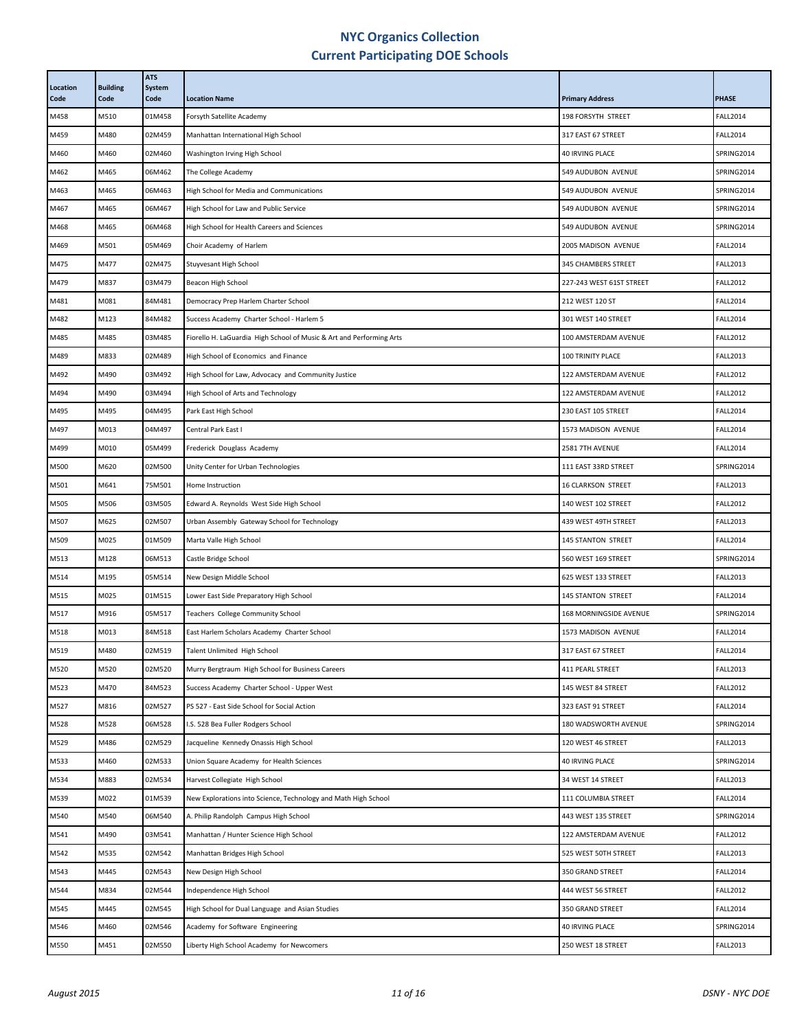| Location<br>Code | <b>Building</b><br>Code | <b>ATS</b><br><b>System</b><br>Code | <b>Location Name</b>                                                 | <b>Primary Address</b>    | <b>PHASE</b>    |
|------------------|-------------------------|-------------------------------------|----------------------------------------------------------------------|---------------------------|-----------------|
| M458             | M510                    | 01M458                              | Forsyth Satellite Academy                                            | 198 FORSYTH STREET        | <b>FALL2014</b> |
| M459             | M480                    | 02M459                              | Manhattan International High School                                  | 317 EAST 67 STREET        | <b>FALL2014</b> |
| M460             | M460                    | 02M460                              | Washington Irving High School                                        | <b>40 IRVING PLACE</b>    | SPRING2014      |
| M462             | M465                    | 06M462                              | The College Academy                                                  | 549 AUDUBON AVENUE        | SPRING2014      |
| M463             | M465                    | 06M463                              | High School for Media and Communications                             | 549 AUDUBON AVENUE        | SPRING2014      |
| M467             | M465                    | 06M467                              | High School for Law and Public Service                               | 549 AUDUBON AVENUE        | SPRING2014      |
| M468             | M465                    | 06M468                              | High School for Health Careers and Sciences                          | 549 AUDUBON AVENUE        | SPRING2014      |
| M469             | M501                    | 05M469                              | Choir Academy of Harlem                                              | 2005 MADISON AVENUE       | <b>FALL2014</b> |
| M475             | M477                    | 02M475                              | Stuyvesant High School                                               | 345 CHAMBERS STREET       | <b>FALL2013</b> |
| M479             | M837                    | 03M479                              | Beacon High School                                                   | 227-243 WEST 61ST STREET  | <b>FALL2012</b> |
| M481             | M081                    | 84M481                              | Democracy Prep Harlem Charter School                                 | 212 WEST 120 ST           | <b>FALL2014</b> |
| M482             | M123                    | 84M482                              | Success Academy Charter School - Harlem 5                            | 301 WEST 140 STREET       | <b>FALL2014</b> |
| M485             | M485                    | 03M485                              | Fiorello H. LaGuardia High School of Music & Art and Performing Arts | 100 AMSTERDAM AVENUE      | <b>FALL2012</b> |
| M489             | M833                    | 02M489                              | High School of Economics and Finance                                 | 100 TRINITY PLACE         | <b>FALL2013</b> |
| M492             | M490                    | 03M492                              | High School for Law, Advocacy and Community Justice                  | 122 AMSTERDAM AVENUE      | <b>FALL2012</b> |
| M494             | M490                    | 03M494                              | High School of Arts and Technology                                   | 122 AMSTERDAM AVENUE      | <b>FALL2012</b> |
| M495             | M495                    | 04M495                              | Park East High School                                                | 230 EAST 105 STREET       | <b>FALL2014</b> |
| M497             | M013                    | 04M497                              | Central Park East I                                                  | 1573 MADISON AVENUE       | <b>FALL2014</b> |
| M499             | M010                    | 05M499                              | Frederick Douglass Academy                                           | 2581 7TH AVENUE           | <b>FALL2014</b> |
| M500             | M620                    | 02M500                              | Unity Center for Urban Technologies                                  | 111 EAST 33RD STREET      | SPRING2014      |
| M501             | M641                    | 75M501                              | Home Instruction                                                     | <b>16 CLARKSON STREET</b> | <b>FALL2013</b> |
| M505             | M506                    | 03M505                              | Edward A. Reynolds West Side High School                             | 140 WEST 102 STREET       | <b>FALL2012</b> |
| M507             | M625                    | 02M507                              | Urban Assembly Gateway School for Technology                         | 439 WEST 49TH STREET      | <b>FALL2013</b> |
| M509             | M025                    | 01M509                              | Marta Valle High School                                              | <b>145 STANTON STREET</b> | <b>FALL2014</b> |
| M513             | M128                    | 06M513                              | Castle Bridge School                                                 | 560 WEST 169 STREET       | SPRING2014      |
| M514             | M195                    | 05M514                              | New Design Middle School                                             | 625 WEST 133 STREET       | <b>FALL2013</b> |
| M515             | M025                    | 01M515                              | Lower East Side Preparatory High School                              | <b>145 STANTON STREET</b> | <b>FALL2014</b> |
| M517             | M916                    | 05M517                              | <b>Teachers College Community School</b>                             | 168 MORNINGSIDE AVENUE    | SPRING2014      |
| M518             | M013                    | 84M518                              | East Harlem Scholars Academy Charter School                          | 1573 MADISON AVENUE       | <b>FALL2014</b> |
| M519             | M480                    | 02M519                              | Talent Unlimited High School                                         | 317 EAST 67 STREET        | <b>FALL2014</b> |
| M520             | M520                    | 02M520                              | Murry Bergtraum High School for Business Careers                     | 411 PEARL STREET          | <b>FALL2013</b> |
| M523             | M470                    | 84M523                              | Success Academy Charter School - Upper West                          | 145 WEST 84 STREET        | <b>FALL2012</b> |
| M527             | M816                    | 02M527                              | PS 527 - East Side School for Social Action                          | 323 EAST 91 STREET        | <b>FALL2014</b> |
| M528             | M528                    | 06M528                              | I.S. 528 Bea Fuller Rodgers School                                   | 180 WADSWORTH AVENUE      | SPRING2014      |
| M529             | M486                    | 02M529                              | Jacqueline Kennedy Onassis High School                               | 120 WEST 46 STREET        | <b>FALL2013</b> |
| M533             | M460                    | 02M533                              | Union Square Academy for Health Sciences                             | 40 IRVING PLACE           | SPRING2014      |
| M534             | M883                    | 02M534                              | Harvest Collegiate High School                                       | 34 WEST 14 STREET         | <b>FALL2013</b> |
| M539             | M022                    | 01M539                              | New Explorations into Science, Technology and Math High School       | 111 COLUMBIA STREET       | <b>FALL2014</b> |
| M540             | M540                    | 06M540                              | A. Philip Randolph Campus High School                                | 443 WEST 135 STREET       | SPRING2014      |
| M541             | M490                    | 03M541                              | Manhattan / Hunter Science High School                               | 122 AMSTERDAM AVENUE      | <b>FALL2012</b> |
| M542             | M535                    | 02M542                              | Manhattan Bridges High School                                        | 525 WEST 50TH STREET      | <b>FALL2013</b> |
| M543             | M445                    | 02M543                              | New Design High School                                               | 350 GRAND STREET          | <b>FALL2014</b> |
| M544             | M834                    | 02M544                              | Independence High School                                             | 444 WEST 56 STREET        | <b>FALL2012</b> |
| M545             | M445                    | 02M545                              | High School for Dual Language and Asian Studies                      | 350 GRAND STREET          | <b>FALL2014</b> |
| M546             | M460                    | 02M546                              | Academy for Software Engineering                                     | 40 IRVING PLACE           | SPRING2014      |
| M550             | M451                    | 02M550                              | Liberty High School Academy for Newcomers                            | 250 WEST 18 STREET        | <b>FALL2013</b> |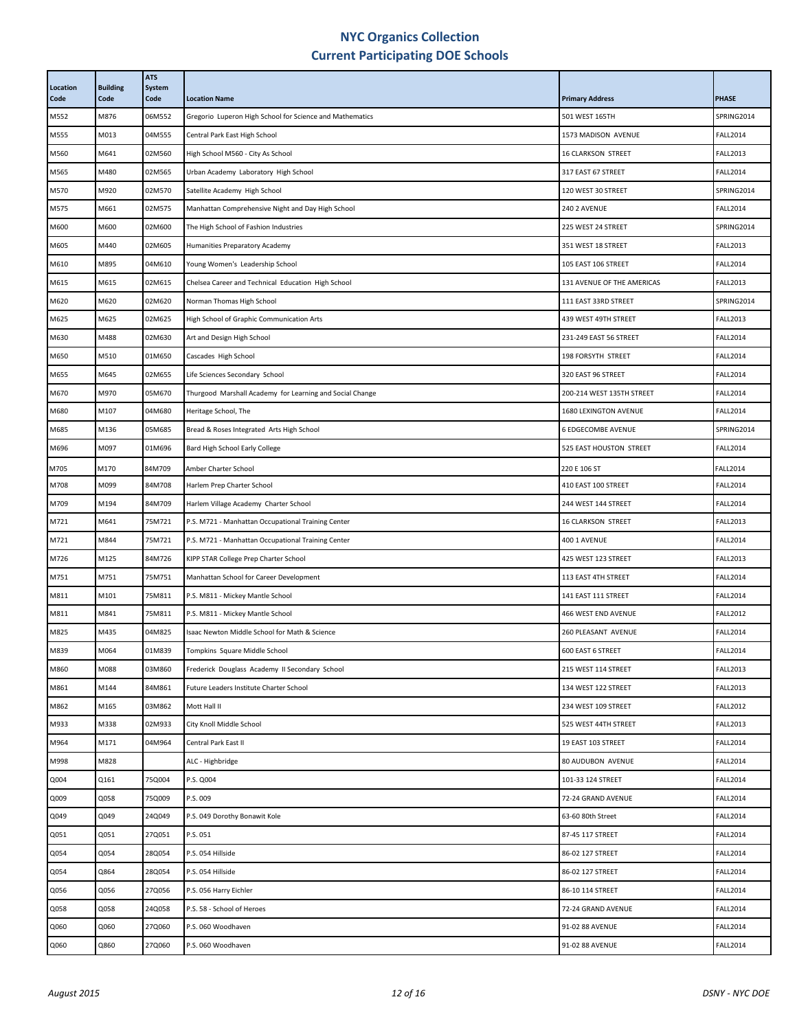| Location<br>Code | <b>Building</b><br>Code | <b>ATS</b><br>System<br>Code | <b>Location Name</b>                                     | <b>Primary Address</b>     | <b>PHASE</b>    |
|------------------|-------------------------|------------------------------|----------------------------------------------------------|----------------------------|-----------------|
| M552             | M876                    | 06M552                       | Gregorio Luperon High School for Science and Mathematics | 501 WEST 165TH             | SPRING2014      |
| M555             | M013                    | 04M555                       | Central Park East High School                            | 1573 MADISON AVENUE        | <b>FALL2014</b> |
| M560             | M641                    | 02M560                       | High School M560 - City As School                        | <b>16 CLARKSON STREET</b>  | <b>FALL2013</b> |
| M565             | M480                    | 02M565                       | Urban Academy Laboratory High School                     | 317 EAST 67 STREET         | <b>FALL2014</b> |
| M570             | M920                    | 02M570                       | Satellite Academy High School                            | 120 WEST 30 STREET         | SPRING2014      |
| M575             | M661                    | 02M575                       | Manhattan Comprehensive Night and Day High School        | 240 2 AVENUE               | <b>FALL2014</b> |
| M600             | M600                    | 02M600                       | The High School of Fashion Industries                    | 225 WEST 24 STREET         | SPRING2014      |
| M605             | M440                    | 02M605                       | Humanities Preparatory Academy                           | 351 WEST 18 STREET         | <b>FALL2013</b> |
| M610             | M895                    | 04M610                       | Young Women's Leadership School                          | 105 EAST 106 STREET        | <b>FALL2014</b> |
| M615             | M615                    | 02M615                       | Chelsea Career and Technical Education High School       | 131 AVENUE OF THE AMERICAS | <b>FALL2013</b> |
| M620             | M620                    | 02M620                       | Norman Thomas High School                                | 111 EAST 33RD STREET       | SPRING2014      |
| M625             | M625                    | 02M625                       | High School of Graphic Communication Arts                | 439 WEST 49TH STREET       | <b>FALL2013</b> |
| M630             | M488                    | 02M630                       | Art and Design High School                               | 231-249 EAST 56 STREET     | <b>FALL2014</b> |
| M650             | M510                    | 01M650                       | Cascades High School                                     | 198 FORSYTH STREET         | <b>FALL2014</b> |
| M655             | M645                    | 02M655                       | Life Sciences Secondary School                           | 320 EAST 96 STREET         | <b>FALL2014</b> |
| M670             | M970                    | 05M670                       | Thurgood Marshall Academy for Learning and Social Change | 200-214 WEST 135TH STREET  | <b>FALL2014</b> |
| M680             | M107                    | 04M680                       | Heritage School, The                                     | 1680 LEXINGTON AVENUE      | <b>FALL2014</b> |
| M685             | M136                    | 05M685                       | Bread & Roses Integrated Arts High School                | 6 EDGECOMBE AVENUE         | SPRING2014      |
| M696             | M097                    | 01M696                       | Bard High School Early College                           | 525 EAST HOUSTON STREET    | <b>FALL2014</b> |
| M705             | M170                    | 84M709                       | Amber Charter School                                     | 220 E 106 ST               | <b>FALL2014</b> |
| M708             | M099                    | 84M708                       | Harlem Prep Charter School                               | 410 EAST 100 STREET        | <b>FALL2014</b> |
| M709             | M194                    | 84M709                       | Harlem Village Academy Charter School                    | 244 WEST 144 STREET        | <b>FALL2014</b> |
| M721             | M641                    | 75M721                       | P.S. M721 - Manhattan Occupational Training Center       | 16 CLARKSON STREET         | <b>FALL2013</b> |
| M721             | M844                    | 75M721                       | P.S. M721 - Manhattan Occupational Training Center       | 400 1 AVENUE               | <b>FALL2014</b> |
| M726             | M125                    | 84M726                       | KIPP STAR College Prep Charter School                    | 425 WEST 123 STREET        | <b>FALL2013</b> |
| M751             | M751                    | 75M751                       | Manhattan School for Career Development                  | 113 EAST 4TH STREET        | <b>FALL2014</b> |
| M811             | M101                    | 75M811                       | P.S. M811 - Mickey Mantle School                         | 141 EAST 111 STREET        | <b>FALL2014</b> |
| M811             | M841                    | 75M811                       | P.S. M811 - Mickey Mantle School                         | 466 WEST END AVENUE        | <b>FALL2012</b> |
| M825             | M435                    | 04M825                       | Isaac Newton Middle School for Math & Science            | 260 PLEASANT AVENUE        | <b>FALL2014</b> |
| M839             | M064                    | 01M839                       | Tompkins Square Middle School                            | 600 EAST 6 STREET          | <b>FALL2014</b> |
| M860             | M088                    | 03M860                       | Frederick Douglass Academy II Secondary School           | 215 WEST 114 STREET        | <b>FALL2013</b> |
| M861             | M144                    | 84M861                       | Future Leaders Institute Charter School                  | 134 WEST 122 STREET        | <b>FALL2013</b> |
| M862             | M165                    | 03M862                       | Mott Hall II                                             | 234 WEST 109 STREET        | <b>FALL2012</b> |
| M933             | M338                    | 02M933                       | City Knoll Middle School                                 | 525 WEST 44TH STREET       | <b>FALL2013</b> |
| M964             | M171                    | 04M964                       | Central Park East II                                     | 19 EAST 103 STREET         | <b>FALL2014</b> |
| M998             | M828                    |                              | ALC - Highbridge                                         | 80 AUDUBON AVENUE          | <b>FALL2014</b> |
| Q004             | Q161                    | 75Q004                       | P.S. Q004                                                | 101-33 124 STREET          | <b>FALL2014</b> |
| Q009             | Q058                    | 75Q009                       | P.S. 009                                                 | 72-24 GRAND AVENUE         | <b>FALL2014</b> |
| Q049             | Q049                    | 24Q049                       | P.S. 049 Dorothy Bonawit Kole                            | 63-60 80th Street          | <b>FALL2014</b> |
| Q051             | Q051                    | 27Q051                       | P.S. 051                                                 | 87-45 117 STREET           | <b>FALL2014</b> |
| Q054             | Q054                    | 28Q054                       | P.S. 054 Hillside                                        | 86-02 127 STREET           | <b>FALL2014</b> |
| Q054             | Q864                    | 28Q054                       | P.S. 054 Hillside                                        | 86-02 127 STREET           | <b>FALL2014</b> |
| Q056             | Q056                    | 27Q056                       | P.S. 056 Harry Eichler                                   | 86-10 114 STREET           | <b>FALL2014</b> |
| Q058             | Q058                    | 24Q058                       | P.S. 58 - School of Heroes                               | 72-24 GRAND AVENUE         | <b>FALL2014</b> |
| Q060             | Q060                    | 27Q060                       | P.S. 060 Woodhaven                                       | 91-02 88 AVENUE            | <b>FALL2014</b> |
| Q060             | Q860                    | 27Q060                       | P.S. 060 Woodhaven                                       | 91-02 88 AVENUE            | <b>FALL2014</b> |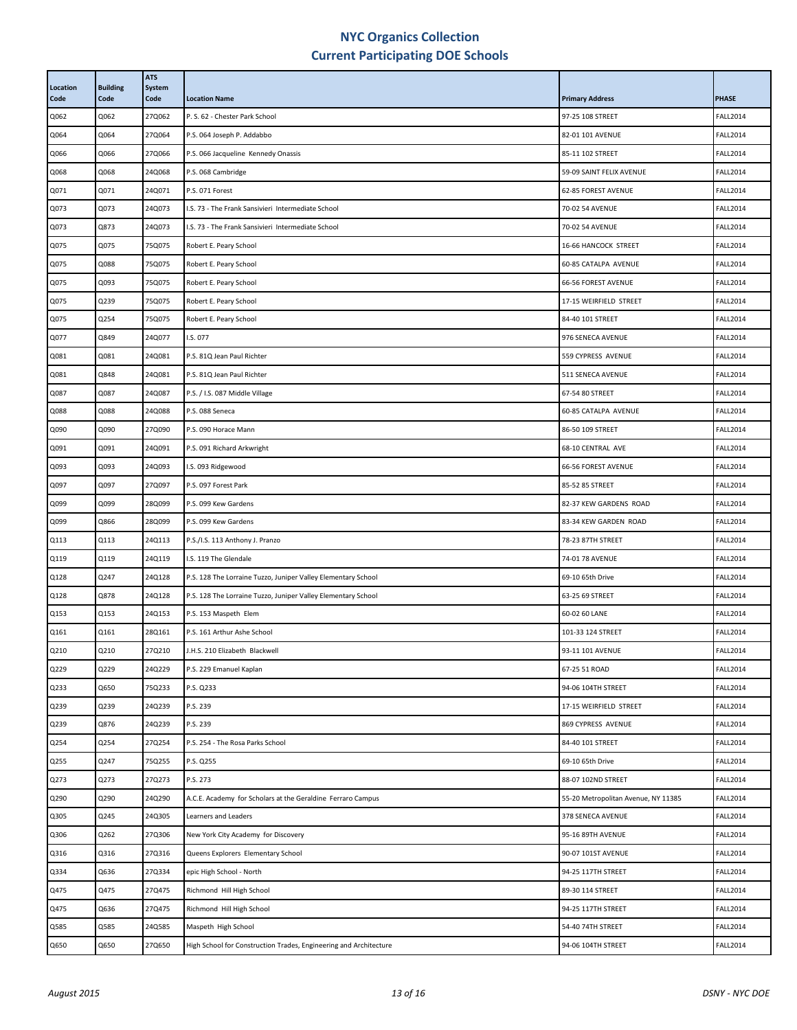| Location<br>Code | <b>Building</b><br>Code | <b>ATS</b><br>System<br>Code | <b>Location Name</b>                                              | <b>Primary Address</b>              | <b>PHASE</b>    |
|------------------|-------------------------|------------------------------|-------------------------------------------------------------------|-------------------------------------|-----------------|
| Q062             | Q062                    | 27Q062                       | P. S. 62 - Chester Park School                                    | 97-25 108 STREET                    | <b>FALL2014</b> |
| Q064             | Q064                    | 27Q064                       | P.S. 064 Joseph P. Addabbo                                        | 82-01 101 AVENUE                    | <b>FALL2014</b> |
| Q066             | Q066                    | 27Q066                       | P.S. 066 Jacqueline Kennedy Onassis                               | 85-11 102 STREET                    | <b>FALL2014</b> |
| Q068             | Q068                    | 24Q068                       | P.S. 068 Cambridge                                                | 59-09 SAINT FELIX AVENUE            | <b>FALL2014</b> |
| Q071             | Q071                    | 24Q071                       | P.S. 071 Forest                                                   | 62-85 FOREST AVENUE                 | <b>FALL2014</b> |
| Q073             | Q073                    | 24Q073                       | I.S. 73 - The Frank Sansivieri Intermediate School                | 70-02 54 AVENUE                     | <b>FALL2014</b> |
| Q073             | Q873                    | 24Q073                       | I.S. 73 - The Frank Sansivieri Intermediate School                | 70-02 54 AVENUE                     | <b>FALL2014</b> |
| Q075             | Q075                    | 75Q075                       | Robert E. Peary School                                            | 16-66 HANCOCK STREET                | <b>FALL2014</b> |
| Q075             | Q088                    | 75Q075                       | Robert E. Peary School                                            | 60-85 CATALPA AVENUE                | <b>FALL2014</b> |
| Q075             | Q093                    | 75Q075                       | Robert E. Peary School                                            | 66-56 FOREST AVENUE                 | <b>FALL2014</b> |
| Q075             | Q239                    | 75Q075                       | Robert E. Peary School                                            | 17-15 WEIRFIELD STREET              | <b>FALL2014</b> |
| Q075             | Q254                    | 75Q075                       | Robert E. Peary School                                            | 84-40 101 STREET                    | <b>FALL2014</b> |
| Q077             | Q849                    | 24Q077                       | I.S. 077                                                          | 976 SENECA AVENUE                   | <b>FALL2014</b> |
| Q081             | Q081                    | 24Q081                       | P.S. 81Q Jean Paul Richter                                        | 559 CYPRESS AVENUE                  | <b>FALL2014</b> |
| Q081             | Q848                    | 24Q081                       | P.S. 81Q Jean Paul Richter                                        | 511 SENECA AVENUE                   | <b>FALL2014</b> |
| Q087             | Q087                    | 24Q087                       | P.S. / I.S. 087 Middle Village                                    | 67-54 80 STREET                     | <b>FALL2014</b> |
| Q088             | Q088                    | 24Q088                       | P.S. 088 Seneca                                                   | 60-85 CATALPA AVENUE                | <b>FALL2014</b> |
| Q090             | Q090                    | 27Q090                       | P.S. 090 Horace Mann                                              | 86-50 109 STREET                    | <b>FALL2014</b> |
| Q091             | Q091                    | 24Q091                       | P.S. 091 Richard Arkwright                                        | 68-10 CENTRAL AVE                   | <b>FALL2014</b> |
| Q093             | Q093                    | 24Q093                       | I.S. 093 Ridgewood                                                | 66-56 FOREST AVENUE                 | <b>FALL2014</b> |
| Q097             | Q097                    | 27Q097                       | P.S. 097 Forest Park                                              | 85-52 85 STREET                     | <b>FALL2014</b> |
| Q099             | Q099                    | 28Q099                       | P.S. 099 Kew Gardens                                              | 82-37 KEW GARDENS ROAD              | <b>FALL2014</b> |
| Q099             | Q866                    | 28Q099                       | P.S. 099 Kew Gardens                                              | 83-34 KEW GARDEN ROAD               | <b>FALL2014</b> |
| Q113             | Q113                    | 24Q113                       | P.S./I.S. 113 Anthony J. Pranzo                                   | 78-23 87TH STREET                   | <b>FALL2014</b> |
| Q119             | Q119                    | 24Q119                       | I.S. 119 The Glendale                                             | 74-01 78 AVENUE                     | <b>FALL2014</b> |
| Q128             | Q247                    | 24Q128                       | P.S. 128 The Lorraine Tuzzo, Juniper Valley Elementary School     | 69-10 65th Drive                    | <b>FALL2014</b> |
| Q128             | Q878                    | 24Q128                       | P.S. 128 The Lorraine Tuzzo, Juniper Valley Elementary School     | 63-25 69 STREET                     | <b>FALL2014</b> |
| Q153             | Q153                    | 24Q153                       | P.S. 153 Maspeth Elem                                             | 60-02 60 LANE                       | <b>FALL2014</b> |
| Q161             | Q161                    | 28Q161                       | P.S. 161 Arthur Ashe School                                       | 101-33 124 STREET                   | <b>FALL2014</b> |
| Q210             | Q210                    | 27Q210                       | J.H.S. 210 Elizabeth Blackwell                                    | 93-11 101 AVENUE                    | <b>FALL2014</b> |
| Q229             | Q229                    | 24Q229                       | P.S. 229 Emanuel Kaplan                                           | 67-25 51 ROAD                       | <b>FALL2014</b> |
| Q233             | Q650                    | 75Q233                       | P.S. Q233                                                         | 94-06 104TH STREET                  | <b>FALL2014</b> |
| Q239             | Q239                    | 24Q239                       | P.S. 239                                                          | 17-15 WEIRFIELD STREET              | <b>FALL2014</b> |
| Q239             | Q876                    | 24Q239                       | P.S. 239                                                          | 869 CYPRESS AVENUE                  | <b>FALL2014</b> |
| Q254             | Q254                    | 27Q254                       | P.S. 254 - The Rosa Parks School                                  | 84-40 101 STREET                    | <b>FALL2014</b> |
| Q255             | Q247                    | 75Q255                       | P.S. Q255                                                         | 69-10 65th Drive                    | <b>FALL2014</b> |
| Q273             | Q273                    | 27Q273                       | P.S. 273                                                          | 88-07 102ND STREET                  | <b>FALL2014</b> |
| Q290             | Q290                    | 24Q290                       | A.C.E. Academy for Scholars at the Geraldine Ferraro Campus       | 55-20 Metropolitan Avenue, NY 11385 | <b>FALL2014</b> |
| Q305             | Q245                    | 24Q305                       | Learners and Leaders                                              | 378 SENECA AVENUE                   | <b>FALL2014</b> |
| Q306             | Q262                    | 27Q306                       | New York City Academy for Discovery                               | 95-16 89TH AVENUE                   | <b>FALL2014</b> |
| Q316             | Q316                    | 27Q316                       | Queens Explorers Elementary School                                | 90-07 101ST AVENUE                  | <b>FALL2014</b> |
| Q334             | Q636                    | 27Q334                       | epic High School - North                                          | 94-25 117TH STREET                  | <b>FALL2014</b> |
| Q475             | Q475                    | 27Q475                       | Richmond Hill High School                                         | 89-30 114 STREET                    | <b>FALL2014</b> |
| Q475             | Q636                    | 27Q475                       | Richmond Hill High School                                         | 94-25 117TH STREET                  | <b>FALL2014</b> |
| Q585             | Q585                    | 24Q585                       | Maspeth High School                                               | 54-40 74TH STREET                   | <b>FALL2014</b> |
| Q650             | Q650                    | 27Q650                       | High School for Construction Trades, Engineering and Architecture | 94-06 104TH STREET                  | <b>FALL2014</b> |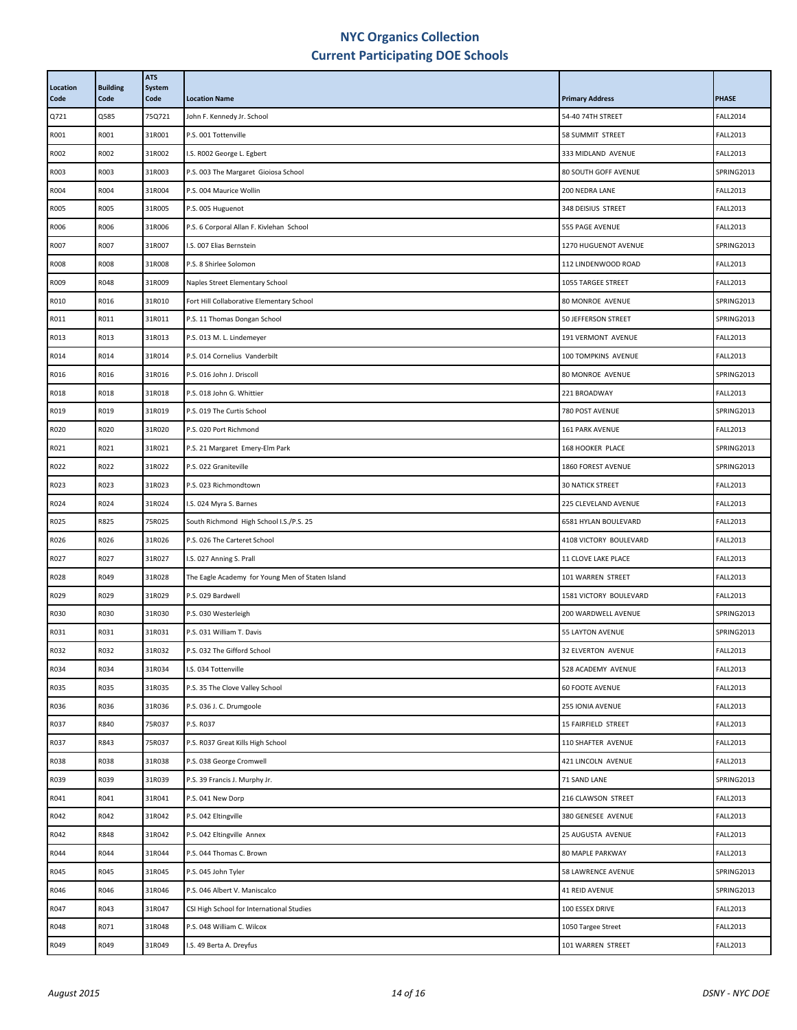| Location<br>Code | <b>Building</b><br>Code | <b>ATS</b><br>System<br>Code | <b>Location Name</b>                             | <b>Primary Address</b>  | <b>PHASE</b>    |
|------------------|-------------------------|------------------------------|--------------------------------------------------|-------------------------|-----------------|
| Q721             | Q585                    | 75Q721                       | John F. Kennedy Jr. School                       | 54-40 74TH STREET       | <b>FALL2014</b> |
| R001             | R001                    | 31R001                       | P.S. 001 Tottenville                             | 58 SUMMIT STREET        | <b>FALL2013</b> |
| R002             | R002                    | 31R002                       | I.S. R002 George L. Egbert                       | 333 MIDLAND AVENUE      | <b>FALL2013</b> |
| R003             | R003                    | 31R003                       | P.S. 003 The Margaret Gioiosa School             | 80 SOUTH GOFF AVENUE    | SPRING2013      |
| R004             | R004                    | 31R004                       | P.S. 004 Maurice Wollin                          | 200 NEDRA LANE          | <b>FALL2013</b> |
| <b>RO05</b>      | R005                    | 31R005                       | P.S. 005 Huguenot                                | 348 DEISIUS STREET      | <b>FALL2013</b> |
| R006             | R006                    | 31R006                       | P.S. 6 Corporal Allan F. Kivlehan School         | 555 PAGE AVENUE         | <b>FALL2013</b> |
| R007             | R007                    | 31R007                       | I.S. 007 Elias Bernstein                         | 1270 HUGUENOT AVENUE    | SPRING2013      |
| <b>RO08</b>      | <b>R008</b>             | 31R008                       | P.S. 8 Shirlee Solomon                           | 112 LINDENWOOD ROAD     | <b>FALL2013</b> |
| R009             | R048                    | 31R009                       | Naples Street Elementary School                  | 1055 TARGEE STREET      | <b>FALL2013</b> |
| R010             | R016                    | 31R010                       | Fort Hill Collaborative Elementary School        | 80 MONROE AVENUE        | SPRING2013      |
| R011             | R011                    | 31R011                       | P.S. 11 Thomas Dongan School                     | 50 JEFFERSON STREET     | SPRING2013      |
| R013             | R013                    | 31R013                       | P.S. 013 M. L. Lindemeyer                        | 191 VERMONT AVENUE      | <b>FALL2013</b> |
| R014             | R014                    | 31R014                       | P.S. 014 Cornelius Vanderbilt                    | 100 TOMPKINS AVENUE     | <b>FALL2013</b> |
| R016             | R016                    | 31R016                       | P.S. 016 John J. Driscoll                        | 80 MONROE AVENUE        | SPRING2013      |
| R018             | R018                    | 31R018                       | P.S. 018 John G. Whittier                        | 221 BROADWAY            | <b>FALL2013</b> |
| R019             | R019                    | 31R019                       | P.S. 019 The Curtis School                       | 780 POST AVENUE         | SPRING2013      |
| R020             | R020                    | 31R020                       | P.S. 020 Port Richmond                           | 161 PARK AVENUE         | <b>FALL2013</b> |
| R021             | R021                    | 31R021                       | P.S. 21 Margaret Emery-Elm Park                  | 168 HOOKER PLACE        | SPRING2013      |
| R022             | R022                    | 31R022                       | P.S. 022 Graniteville                            | 1860 FOREST AVENUE      | SPRING2013      |
| R023             | R023                    | 31R023                       | P.S. 023 Richmondtown                            | <b>30 NATICK STREET</b> | <b>FALL2013</b> |
| R024             | R024                    | 31R024                       | I.S. 024 Myra S. Barnes                          | 225 CLEVELAND AVENUE    | <b>FALL2013</b> |
| R025             | R825                    | 75R025                       | South Richmond High School I.S./P.S. 25          | 6581 HYLAN BOULEVARD    | <b>FALL2013</b> |
| R026             | R026                    | 31R026                       | P.S. 026 The Carteret School                     | 4108 VICTORY BOULEVARD  | <b>FALL2013</b> |
| R027             | R027                    | 31R027                       | I.S. 027 Anning S. Prall                         | 11 CLOVE LAKE PLACE     | <b>FALL2013</b> |
| R028             | R049                    | 31R028                       | The Eagle Academy for Young Men of Staten Island | 101 WARREN STREET       | <b>FALL2013</b> |
| R029             | R029                    | 31R029                       | P.S. 029 Bardwell                                | 1581 VICTORY BOULEVARD  | <b>FALL2013</b> |
| R030             | R030                    | 31R030                       | P.S. 030 Westerleigh                             | 200 WARDWELL AVENUE     | SPRING2013      |
| R031             | R031                    | 31R031                       | P.S. 031 William T. Davis                        | 55 LAYTON AVENUE        | SPRING2013      |
| R032             | R032                    | 31R032                       | P.S. 032 The Gifford School                      | 32 ELVERTON AVENUE      | <b>FALL2013</b> |
| R034             | R034                    | 31R034                       | I.S. 034 Tottenville                             | 528 ACADEMY AVENUE      | <b>FALL2013</b> |
| R035             | R035                    | 31R035                       | P.S. 35 The Clove Valley School                  | <b>60 FOOTE AVENUE</b>  | <b>FALL2013</b> |
| R036             | R036                    | 31R036                       | P.S. 036 J. C. Drumgoole                         | 255 IONIA AVENUE        | <b>FALL2013</b> |
| R037             | R840                    | 75R037                       | P.S. R037                                        | 15 FAIRFIELD STREET     | <b>FALL2013</b> |
| R037             | R843                    | 75R037                       | P.S. R037 Great Kills High School                | 110 SHAFTER AVENUE      | <b>FALL2013</b> |
| R038             | R038                    | 31R038                       | P.S. 038 George Cromwell                         | 421 LINCOLN AVENUE      | <b>FALL2013</b> |
| R039             | R039                    | 31R039                       | P.S. 39 Francis J. Murphy Jr.                    | 71 SAND LANE            | SPRING2013      |
| R041             | R041                    | 31R041                       | P.S. 041 New Dorp                                | 216 CLAWSON STREET      | <b>FALL2013</b> |
| R042             | R042                    | 31R042                       | P.S. 042 Eltingville                             | 380 GENESEE AVENUE      | <b>FALL2013</b> |
| R042             | R848                    | 31R042                       | P.S. 042 Eltingville Annex                       | 25 AUGUSTA AVENUE       | <b>FALL2013</b> |
| R044             | R044                    | 31R044                       | P.S. 044 Thomas C. Brown                         | 80 MAPLE PARKWAY        | <b>FALL2013</b> |
| R045             | R045                    | 31R045                       | P.S. 045 John Tyler                              | 58 LAWRENCE AVENUE      | SPRING2013      |
| R046             | R046                    | 31R046                       | P.S. 046 Albert V. Maniscalco                    | 41 REID AVENUE          | SPRING2013      |
| R047             | R043                    | 31R047                       | CSI High School for International Studies        | 100 ESSEX DRIVE         | <b>FALL2013</b> |
| R048             | R071                    | 31R048                       | P.S. 048 William C. Wilcox                       | 1050 Targee Street      | <b>FALL2013</b> |
| R049             | R049                    | 31R049                       | I.S. 49 Berta A. Dreyfus                         | 101 WARREN STREET       | <b>FALL2013</b> |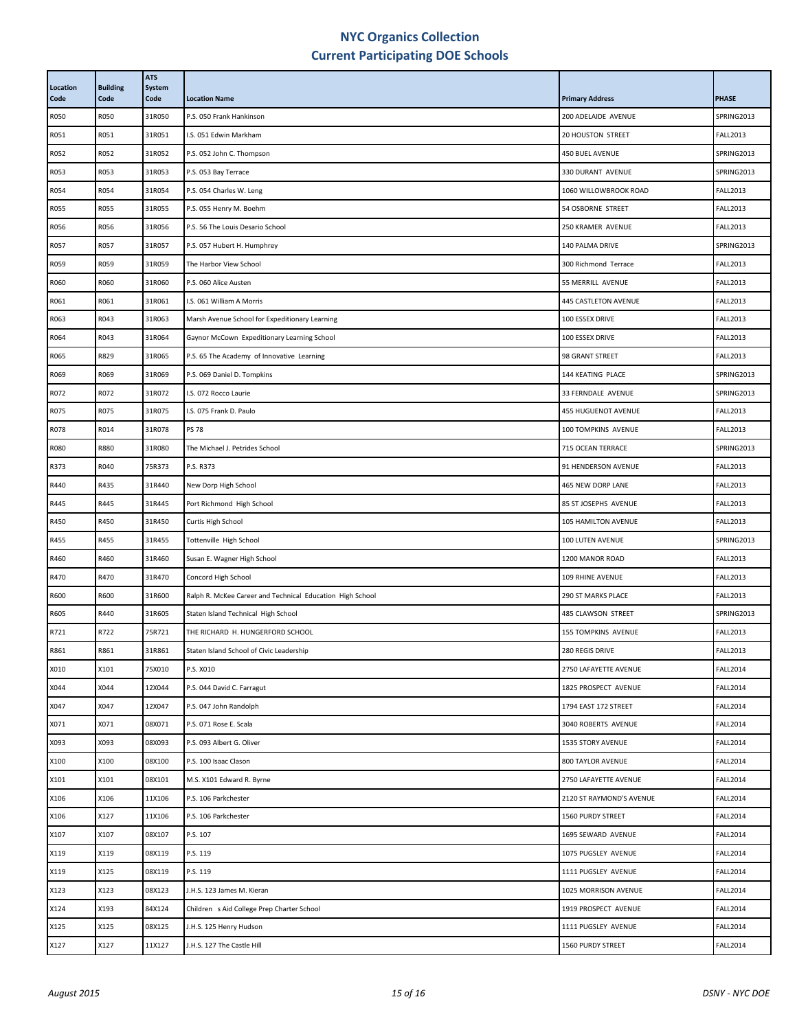| R050<br>31R050<br>SPRING2013<br><b>R050</b><br>P.S. 050 Frank Hankinson<br>200 ADELAIDE AVENUE<br>R051<br>R051<br>31R051<br>20 HOUSTON STREET<br><b>FALL2013</b><br>I.S. 051 Edwin Markham<br>R052<br>R052<br>31R052<br>P.S. 052 John C. Thompson<br>450 BUEL AVENUE<br>SPRING2013<br>R053<br>31R053<br>SPRING2013<br>R053<br>P.S. 053 Bay Terrace<br>330 DURANT AVENUE<br>R054<br>31R054<br><b>FALL2013</b><br>R054<br>P.S. 054 Charles W. Leng<br>1060 WILLOWBROOK ROAD<br>R055<br>31R055<br><b>FALL2013</b><br><b>R055</b><br>P.S. 055 Henry M. Boehm<br>54 OSBORNE STREET<br>R056<br>31R056<br>250 KRAMER AVENUE<br><b>FALL2013</b><br>R056<br>P.S. 56 The Louis Desario School<br>R057<br>31R057<br><b>R057</b><br>P.S. 057 Hubert H. Humphrey<br>140 PALMA DRIVE<br>SPRING2013<br>R059<br>31R059<br><b>FALL2013</b><br>R059<br>The Harbor View School<br>300 Richmond Terrace<br>R060<br>31R060<br><b>FALL2013</b><br>R060<br>P.S. 060 Alice Austen<br>55 MERRILL AVENUE<br>R061<br>31R061<br>I.S. 061 William A Morris<br>445 CASTLETON AVENUE<br><b>FALL2013</b><br>R061<br>R043<br>31R063<br>100 ESSEX DRIVE<br><b>FALL2013</b><br>R063<br>Marsh Avenue School for Expeditionary Learning<br>R043<br>31R064<br>100 ESSEX DRIVE<br><b>FALL2013</b><br>R064<br>Gaynor McCown Expeditionary Learning School<br>R829<br>R065<br>31R065<br>P.S. 65 The Academy of Innovative Learning<br>98 GRANT STREET<br><b>FALL2013</b><br>R069<br>31R069<br>SPRING2013<br>R069<br>P.S. 069 Daniel D. Tompkins<br>144 KEATING PLACE<br>R072<br>R072<br>31R072<br>33 FERNDALE AVENUE<br>SPRING2013<br>I.S. 072 Rocco Laurie<br>R075<br>R075<br>31R075<br>I.S. 075 Frank D. Paulo<br><b>455 HUGUENOT AVENUE</b><br><b>FALL2013</b><br>R014<br>R078<br>31R078<br><b>PS 78</b><br><b>FALL2013</b><br>100 TOMPKINS AVENUE<br>R880<br>31R080<br>SPRING2013<br><b>R080</b><br>The Michael J. Petrides School<br>715 OCEAN TERRACE<br>R373<br>R040<br>75R373<br>91 HENDERSON AVENUE<br><b>FALL2013</b><br>P.S. R373<br>R435<br>31R440<br><b>FALL2013</b><br>R440<br>New Dorp High School<br>465 NEW DORP LANE<br>R445<br>R445<br>31R445<br>Port Richmond High School<br><b>FALL2013</b><br>85 ST JOSEPHS AVENUE<br>R450<br>31R450<br><b>FALL2013</b><br>R450<br>Curtis High School<br>105 HAMILTON AVENUE<br>SPRING2013<br>R455<br>R455<br>31R455<br>Tottenville High School<br>100 LUTEN AVENUE<br>R460<br>31R460<br>Susan E. Wagner High School<br>1200 MANOR ROAD<br><b>FALL2013</b><br>R460<br>R470<br>31R470<br>Concord High School<br><b>FALL2013</b><br>R470<br>109 RHINE AVENUE<br>R600<br>R600<br>31R600<br>290 ST MARKS PLACE<br><b>FALL2013</b><br>Ralph R. McKee Career and Technical Education High School<br>R440<br>SPRING2013<br>R605<br>31R605<br>485 CLAWSON STREET<br>Staten Island Technical High School<br>R722<br>75R721<br><b>FALL2013</b><br>R721<br>THE RICHARD H. HUNGERFORD SCHOOL<br>155 TOMPKINS AVENUE<br>R861<br>31R861<br><b>FALL2013</b><br>R861<br>Staten Island School of Civic Leadership<br>280 REGIS DRIVE<br>X010<br>X101<br>75X010<br>P.S. X010<br>2750 LAFAYETTE AVENUE<br><b>FALL2014</b><br>X044<br>X044<br>12X044<br>P.S. 044 David C. Farragut<br>1825 PROSPECT AVENUE<br><b>FALL2014</b><br>X047<br>X047<br>12X047<br><b>FALL2014</b><br>P.S. 047 John Randolph<br>1794 EAST 172 STREET<br>X071<br>X071<br>08X071<br>3040 ROBERTS AVENUE<br><b>FALL2014</b><br>P.S. 071 Rose E. Scala<br>X093<br>08X093<br><b>FALL2014</b><br>X093<br>P.S. 093 Albert G. Oliver<br>1535 STORY AVENUE<br>X100<br>X100<br>08X100<br>P.S. 100 Isaac Clason<br>800 TAYLOR AVENUE<br><b>FALL2014</b><br>X101<br>08X101<br><b>FALL2014</b><br>X101<br>M.S. X101 Edward R. Byrne<br>2750 LAFAYETTE AVENUE<br>X106<br>11X106<br>2120 ST RAYMOND'S AVENUE<br><b>FALL2014</b><br>X106<br>P.S. 106 Parkchester<br>X127<br>11X106<br>X106<br>P.S. 106 Parkchester<br>1560 PURDY STREET<br><b>FALL2014</b><br>X107<br>08X107<br>P.S. 107<br><b>FALL2014</b><br>X107<br>1695 SEWARD AVENUE<br>X119<br>08X119<br>P.S. 119<br>1075 PUGSLEY AVENUE<br><b>FALL2014</b><br>X119<br>X125<br>X119<br>08X119<br>P.S. 119<br>1111 PUGSLEY AVENUE<br><b>FALL2014</b><br>X123<br>X123<br>08X123<br>1025 MORRISON AVENUE<br><b>FALL2014</b><br>J.H.S. 123 James M. Kieran<br>X193<br>84X124<br>Children s Aid College Prep Charter School<br><b>FALL2014</b><br>X124<br>1919 PROSPECT AVENUE<br>X125<br>08X125<br>1111 PUGSLEY AVENUE<br><b>FALL2014</b><br>X125<br>J.H.S. 125 Henry Hudson | Location<br>Code | <b>Building</b><br>Code | <b>ATS</b><br>System<br>Code | <b>Location Name</b> | <b>Primary Address</b> | <b>PHASE</b> |
|---------------------------------------------------------------------------------------------------------------------------------------------------------------------------------------------------------------------------------------------------------------------------------------------------------------------------------------------------------------------------------------------------------------------------------------------------------------------------------------------------------------------------------------------------------------------------------------------------------------------------------------------------------------------------------------------------------------------------------------------------------------------------------------------------------------------------------------------------------------------------------------------------------------------------------------------------------------------------------------------------------------------------------------------------------------------------------------------------------------------------------------------------------------------------------------------------------------------------------------------------------------------------------------------------------------------------------------------------------------------------------------------------------------------------------------------------------------------------------------------------------------------------------------------------------------------------------------------------------------------------------------------------------------------------------------------------------------------------------------------------------------------------------------------------------------------------------------------------------------------------------------------------------------------------------------------------------------------------------------------------------------------------------------------------------------------------------------------------------------------------------------------------------------------------------------------------------------------------------------------------------------------------------------------------------------------------------------------------------------------------------------------------------------------------------------------------------------------------------------------------------------------------------------------------------------------------------------------------------------------------------------------------------------------------------------------------------------------------------------------------------------------------------------------------------------------------------------------------------------------------------------------------------------------------------------------------------------------------------------------------------------------------------------------------------------------------------------------------------------------------------------------------------------------------------------------------------------------------------------------------------------------------------------------------------------------------------------------------------------------------------------------------------------------------------------------------------------------------------------------------------------------------------------------------------------------------------------------------------------------------------------------------------------------------------------------------------------------------------------------------------------------------------------------------------------------------------------------------------------------------------------------------------------------------------------------------------------------------------------------------------------------------------------------------------------------------------------------------------------------------------------------------------------------------------------------------------------------------------------------------------------------------------------------------------------------------------------------------------------------------------------------------------------------------------------------------------------------------------|------------------|-------------------------|------------------------------|----------------------|------------------------|--------------|
|                                                                                                                                                                                                                                                                                                                                                                                                                                                                                                                                                                                                                                                                                                                                                                                                                                                                                                                                                                                                                                                                                                                                                                                                                                                                                                                                                                                                                                                                                                                                                                                                                                                                                                                                                                                                                                                                                                                                                                                                                                                                                                                                                                                                                                                                                                                                                                                                                                                                                                                                                                                                                                                                                                                                                                                                                                                                                                                                                                                                                                                                                                                                                                                                                                                                                                                                                                                                                                                                                                                                                                                                                                                                                                                                                                                                                                                                                                                                                                                                                                                                                                                                                                                                                                                                                                                                                                                                                                                                                 |                  |                         |                              |                      |                        |              |
|                                                                                                                                                                                                                                                                                                                                                                                                                                                                                                                                                                                                                                                                                                                                                                                                                                                                                                                                                                                                                                                                                                                                                                                                                                                                                                                                                                                                                                                                                                                                                                                                                                                                                                                                                                                                                                                                                                                                                                                                                                                                                                                                                                                                                                                                                                                                                                                                                                                                                                                                                                                                                                                                                                                                                                                                                                                                                                                                                                                                                                                                                                                                                                                                                                                                                                                                                                                                                                                                                                                                                                                                                                                                                                                                                                                                                                                                                                                                                                                                                                                                                                                                                                                                                                                                                                                                                                                                                                                                                 |                  |                         |                              |                      |                        |              |
|                                                                                                                                                                                                                                                                                                                                                                                                                                                                                                                                                                                                                                                                                                                                                                                                                                                                                                                                                                                                                                                                                                                                                                                                                                                                                                                                                                                                                                                                                                                                                                                                                                                                                                                                                                                                                                                                                                                                                                                                                                                                                                                                                                                                                                                                                                                                                                                                                                                                                                                                                                                                                                                                                                                                                                                                                                                                                                                                                                                                                                                                                                                                                                                                                                                                                                                                                                                                                                                                                                                                                                                                                                                                                                                                                                                                                                                                                                                                                                                                                                                                                                                                                                                                                                                                                                                                                                                                                                                                                 |                  |                         |                              |                      |                        |              |
|                                                                                                                                                                                                                                                                                                                                                                                                                                                                                                                                                                                                                                                                                                                                                                                                                                                                                                                                                                                                                                                                                                                                                                                                                                                                                                                                                                                                                                                                                                                                                                                                                                                                                                                                                                                                                                                                                                                                                                                                                                                                                                                                                                                                                                                                                                                                                                                                                                                                                                                                                                                                                                                                                                                                                                                                                                                                                                                                                                                                                                                                                                                                                                                                                                                                                                                                                                                                                                                                                                                                                                                                                                                                                                                                                                                                                                                                                                                                                                                                                                                                                                                                                                                                                                                                                                                                                                                                                                                                                 |                  |                         |                              |                      |                        |              |
|                                                                                                                                                                                                                                                                                                                                                                                                                                                                                                                                                                                                                                                                                                                                                                                                                                                                                                                                                                                                                                                                                                                                                                                                                                                                                                                                                                                                                                                                                                                                                                                                                                                                                                                                                                                                                                                                                                                                                                                                                                                                                                                                                                                                                                                                                                                                                                                                                                                                                                                                                                                                                                                                                                                                                                                                                                                                                                                                                                                                                                                                                                                                                                                                                                                                                                                                                                                                                                                                                                                                                                                                                                                                                                                                                                                                                                                                                                                                                                                                                                                                                                                                                                                                                                                                                                                                                                                                                                                                                 |                  |                         |                              |                      |                        |              |
|                                                                                                                                                                                                                                                                                                                                                                                                                                                                                                                                                                                                                                                                                                                                                                                                                                                                                                                                                                                                                                                                                                                                                                                                                                                                                                                                                                                                                                                                                                                                                                                                                                                                                                                                                                                                                                                                                                                                                                                                                                                                                                                                                                                                                                                                                                                                                                                                                                                                                                                                                                                                                                                                                                                                                                                                                                                                                                                                                                                                                                                                                                                                                                                                                                                                                                                                                                                                                                                                                                                                                                                                                                                                                                                                                                                                                                                                                                                                                                                                                                                                                                                                                                                                                                                                                                                                                                                                                                                                                 |                  |                         |                              |                      |                        |              |
|                                                                                                                                                                                                                                                                                                                                                                                                                                                                                                                                                                                                                                                                                                                                                                                                                                                                                                                                                                                                                                                                                                                                                                                                                                                                                                                                                                                                                                                                                                                                                                                                                                                                                                                                                                                                                                                                                                                                                                                                                                                                                                                                                                                                                                                                                                                                                                                                                                                                                                                                                                                                                                                                                                                                                                                                                                                                                                                                                                                                                                                                                                                                                                                                                                                                                                                                                                                                                                                                                                                                                                                                                                                                                                                                                                                                                                                                                                                                                                                                                                                                                                                                                                                                                                                                                                                                                                                                                                                                                 |                  |                         |                              |                      |                        |              |
|                                                                                                                                                                                                                                                                                                                                                                                                                                                                                                                                                                                                                                                                                                                                                                                                                                                                                                                                                                                                                                                                                                                                                                                                                                                                                                                                                                                                                                                                                                                                                                                                                                                                                                                                                                                                                                                                                                                                                                                                                                                                                                                                                                                                                                                                                                                                                                                                                                                                                                                                                                                                                                                                                                                                                                                                                                                                                                                                                                                                                                                                                                                                                                                                                                                                                                                                                                                                                                                                                                                                                                                                                                                                                                                                                                                                                                                                                                                                                                                                                                                                                                                                                                                                                                                                                                                                                                                                                                                                                 |                  |                         |                              |                      |                        |              |
|                                                                                                                                                                                                                                                                                                                                                                                                                                                                                                                                                                                                                                                                                                                                                                                                                                                                                                                                                                                                                                                                                                                                                                                                                                                                                                                                                                                                                                                                                                                                                                                                                                                                                                                                                                                                                                                                                                                                                                                                                                                                                                                                                                                                                                                                                                                                                                                                                                                                                                                                                                                                                                                                                                                                                                                                                                                                                                                                                                                                                                                                                                                                                                                                                                                                                                                                                                                                                                                                                                                                                                                                                                                                                                                                                                                                                                                                                                                                                                                                                                                                                                                                                                                                                                                                                                                                                                                                                                                                                 |                  |                         |                              |                      |                        |              |
|                                                                                                                                                                                                                                                                                                                                                                                                                                                                                                                                                                                                                                                                                                                                                                                                                                                                                                                                                                                                                                                                                                                                                                                                                                                                                                                                                                                                                                                                                                                                                                                                                                                                                                                                                                                                                                                                                                                                                                                                                                                                                                                                                                                                                                                                                                                                                                                                                                                                                                                                                                                                                                                                                                                                                                                                                                                                                                                                                                                                                                                                                                                                                                                                                                                                                                                                                                                                                                                                                                                                                                                                                                                                                                                                                                                                                                                                                                                                                                                                                                                                                                                                                                                                                                                                                                                                                                                                                                                                                 |                  |                         |                              |                      |                        |              |
|                                                                                                                                                                                                                                                                                                                                                                                                                                                                                                                                                                                                                                                                                                                                                                                                                                                                                                                                                                                                                                                                                                                                                                                                                                                                                                                                                                                                                                                                                                                                                                                                                                                                                                                                                                                                                                                                                                                                                                                                                                                                                                                                                                                                                                                                                                                                                                                                                                                                                                                                                                                                                                                                                                                                                                                                                                                                                                                                                                                                                                                                                                                                                                                                                                                                                                                                                                                                                                                                                                                                                                                                                                                                                                                                                                                                                                                                                                                                                                                                                                                                                                                                                                                                                                                                                                                                                                                                                                                                                 |                  |                         |                              |                      |                        |              |
|                                                                                                                                                                                                                                                                                                                                                                                                                                                                                                                                                                                                                                                                                                                                                                                                                                                                                                                                                                                                                                                                                                                                                                                                                                                                                                                                                                                                                                                                                                                                                                                                                                                                                                                                                                                                                                                                                                                                                                                                                                                                                                                                                                                                                                                                                                                                                                                                                                                                                                                                                                                                                                                                                                                                                                                                                                                                                                                                                                                                                                                                                                                                                                                                                                                                                                                                                                                                                                                                                                                                                                                                                                                                                                                                                                                                                                                                                                                                                                                                                                                                                                                                                                                                                                                                                                                                                                                                                                                                                 |                  |                         |                              |                      |                        |              |
|                                                                                                                                                                                                                                                                                                                                                                                                                                                                                                                                                                                                                                                                                                                                                                                                                                                                                                                                                                                                                                                                                                                                                                                                                                                                                                                                                                                                                                                                                                                                                                                                                                                                                                                                                                                                                                                                                                                                                                                                                                                                                                                                                                                                                                                                                                                                                                                                                                                                                                                                                                                                                                                                                                                                                                                                                                                                                                                                                                                                                                                                                                                                                                                                                                                                                                                                                                                                                                                                                                                                                                                                                                                                                                                                                                                                                                                                                                                                                                                                                                                                                                                                                                                                                                                                                                                                                                                                                                                                                 |                  |                         |                              |                      |                        |              |
|                                                                                                                                                                                                                                                                                                                                                                                                                                                                                                                                                                                                                                                                                                                                                                                                                                                                                                                                                                                                                                                                                                                                                                                                                                                                                                                                                                                                                                                                                                                                                                                                                                                                                                                                                                                                                                                                                                                                                                                                                                                                                                                                                                                                                                                                                                                                                                                                                                                                                                                                                                                                                                                                                                                                                                                                                                                                                                                                                                                                                                                                                                                                                                                                                                                                                                                                                                                                                                                                                                                                                                                                                                                                                                                                                                                                                                                                                                                                                                                                                                                                                                                                                                                                                                                                                                                                                                                                                                                                                 |                  |                         |                              |                      |                        |              |
|                                                                                                                                                                                                                                                                                                                                                                                                                                                                                                                                                                                                                                                                                                                                                                                                                                                                                                                                                                                                                                                                                                                                                                                                                                                                                                                                                                                                                                                                                                                                                                                                                                                                                                                                                                                                                                                                                                                                                                                                                                                                                                                                                                                                                                                                                                                                                                                                                                                                                                                                                                                                                                                                                                                                                                                                                                                                                                                                                                                                                                                                                                                                                                                                                                                                                                                                                                                                                                                                                                                                                                                                                                                                                                                                                                                                                                                                                                                                                                                                                                                                                                                                                                                                                                                                                                                                                                                                                                                                                 |                  |                         |                              |                      |                        |              |
|                                                                                                                                                                                                                                                                                                                                                                                                                                                                                                                                                                                                                                                                                                                                                                                                                                                                                                                                                                                                                                                                                                                                                                                                                                                                                                                                                                                                                                                                                                                                                                                                                                                                                                                                                                                                                                                                                                                                                                                                                                                                                                                                                                                                                                                                                                                                                                                                                                                                                                                                                                                                                                                                                                                                                                                                                                                                                                                                                                                                                                                                                                                                                                                                                                                                                                                                                                                                                                                                                                                                                                                                                                                                                                                                                                                                                                                                                                                                                                                                                                                                                                                                                                                                                                                                                                                                                                                                                                                                                 |                  |                         |                              |                      |                        |              |
|                                                                                                                                                                                                                                                                                                                                                                                                                                                                                                                                                                                                                                                                                                                                                                                                                                                                                                                                                                                                                                                                                                                                                                                                                                                                                                                                                                                                                                                                                                                                                                                                                                                                                                                                                                                                                                                                                                                                                                                                                                                                                                                                                                                                                                                                                                                                                                                                                                                                                                                                                                                                                                                                                                                                                                                                                                                                                                                                                                                                                                                                                                                                                                                                                                                                                                                                                                                                                                                                                                                                                                                                                                                                                                                                                                                                                                                                                                                                                                                                                                                                                                                                                                                                                                                                                                                                                                                                                                                                                 |                  |                         |                              |                      |                        |              |
|                                                                                                                                                                                                                                                                                                                                                                                                                                                                                                                                                                                                                                                                                                                                                                                                                                                                                                                                                                                                                                                                                                                                                                                                                                                                                                                                                                                                                                                                                                                                                                                                                                                                                                                                                                                                                                                                                                                                                                                                                                                                                                                                                                                                                                                                                                                                                                                                                                                                                                                                                                                                                                                                                                                                                                                                                                                                                                                                                                                                                                                                                                                                                                                                                                                                                                                                                                                                                                                                                                                                                                                                                                                                                                                                                                                                                                                                                                                                                                                                                                                                                                                                                                                                                                                                                                                                                                                                                                                                                 |                  |                         |                              |                      |                        |              |
|                                                                                                                                                                                                                                                                                                                                                                                                                                                                                                                                                                                                                                                                                                                                                                                                                                                                                                                                                                                                                                                                                                                                                                                                                                                                                                                                                                                                                                                                                                                                                                                                                                                                                                                                                                                                                                                                                                                                                                                                                                                                                                                                                                                                                                                                                                                                                                                                                                                                                                                                                                                                                                                                                                                                                                                                                                                                                                                                                                                                                                                                                                                                                                                                                                                                                                                                                                                                                                                                                                                                                                                                                                                                                                                                                                                                                                                                                                                                                                                                                                                                                                                                                                                                                                                                                                                                                                                                                                                                                 |                  |                         |                              |                      |                        |              |
|                                                                                                                                                                                                                                                                                                                                                                                                                                                                                                                                                                                                                                                                                                                                                                                                                                                                                                                                                                                                                                                                                                                                                                                                                                                                                                                                                                                                                                                                                                                                                                                                                                                                                                                                                                                                                                                                                                                                                                                                                                                                                                                                                                                                                                                                                                                                                                                                                                                                                                                                                                                                                                                                                                                                                                                                                                                                                                                                                                                                                                                                                                                                                                                                                                                                                                                                                                                                                                                                                                                                                                                                                                                                                                                                                                                                                                                                                                                                                                                                                                                                                                                                                                                                                                                                                                                                                                                                                                                                                 |                  |                         |                              |                      |                        |              |
|                                                                                                                                                                                                                                                                                                                                                                                                                                                                                                                                                                                                                                                                                                                                                                                                                                                                                                                                                                                                                                                                                                                                                                                                                                                                                                                                                                                                                                                                                                                                                                                                                                                                                                                                                                                                                                                                                                                                                                                                                                                                                                                                                                                                                                                                                                                                                                                                                                                                                                                                                                                                                                                                                                                                                                                                                                                                                                                                                                                                                                                                                                                                                                                                                                                                                                                                                                                                                                                                                                                                                                                                                                                                                                                                                                                                                                                                                                                                                                                                                                                                                                                                                                                                                                                                                                                                                                                                                                                                                 |                  |                         |                              |                      |                        |              |
|                                                                                                                                                                                                                                                                                                                                                                                                                                                                                                                                                                                                                                                                                                                                                                                                                                                                                                                                                                                                                                                                                                                                                                                                                                                                                                                                                                                                                                                                                                                                                                                                                                                                                                                                                                                                                                                                                                                                                                                                                                                                                                                                                                                                                                                                                                                                                                                                                                                                                                                                                                                                                                                                                                                                                                                                                                                                                                                                                                                                                                                                                                                                                                                                                                                                                                                                                                                                                                                                                                                                                                                                                                                                                                                                                                                                                                                                                                                                                                                                                                                                                                                                                                                                                                                                                                                                                                                                                                                                                 |                  |                         |                              |                      |                        |              |
|                                                                                                                                                                                                                                                                                                                                                                                                                                                                                                                                                                                                                                                                                                                                                                                                                                                                                                                                                                                                                                                                                                                                                                                                                                                                                                                                                                                                                                                                                                                                                                                                                                                                                                                                                                                                                                                                                                                                                                                                                                                                                                                                                                                                                                                                                                                                                                                                                                                                                                                                                                                                                                                                                                                                                                                                                                                                                                                                                                                                                                                                                                                                                                                                                                                                                                                                                                                                                                                                                                                                                                                                                                                                                                                                                                                                                                                                                                                                                                                                                                                                                                                                                                                                                                                                                                                                                                                                                                                                                 |                  |                         |                              |                      |                        |              |
|                                                                                                                                                                                                                                                                                                                                                                                                                                                                                                                                                                                                                                                                                                                                                                                                                                                                                                                                                                                                                                                                                                                                                                                                                                                                                                                                                                                                                                                                                                                                                                                                                                                                                                                                                                                                                                                                                                                                                                                                                                                                                                                                                                                                                                                                                                                                                                                                                                                                                                                                                                                                                                                                                                                                                                                                                                                                                                                                                                                                                                                                                                                                                                                                                                                                                                                                                                                                                                                                                                                                                                                                                                                                                                                                                                                                                                                                                                                                                                                                                                                                                                                                                                                                                                                                                                                                                                                                                                                                                 |                  |                         |                              |                      |                        |              |
|                                                                                                                                                                                                                                                                                                                                                                                                                                                                                                                                                                                                                                                                                                                                                                                                                                                                                                                                                                                                                                                                                                                                                                                                                                                                                                                                                                                                                                                                                                                                                                                                                                                                                                                                                                                                                                                                                                                                                                                                                                                                                                                                                                                                                                                                                                                                                                                                                                                                                                                                                                                                                                                                                                                                                                                                                                                                                                                                                                                                                                                                                                                                                                                                                                                                                                                                                                                                                                                                                                                                                                                                                                                                                                                                                                                                                                                                                                                                                                                                                                                                                                                                                                                                                                                                                                                                                                                                                                                                                 |                  |                         |                              |                      |                        |              |
|                                                                                                                                                                                                                                                                                                                                                                                                                                                                                                                                                                                                                                                                                                                                                                                                                                                                                                                                                                                                                                                                                                                                                                                                                                                                                                                                                                                                                                                                                                                                                                                                                                                                                                                                                                                                                                                                                                                                                                                                                                                                                                                                                                                                                                                                                                                                                                                                                                                                                                                                                                                                                                                                                                                                                                                                                                                                                                                                                                                                                                                                                                                                                                                                                                                                                                                                                                                                                                                                                                                                                                                                                                                                                                                                                                                                                                                                                                                                                                                                                                                                                                                                                                                                                                                                                                                                                                                                                                                                                 |                  |                         |                              |                      |                        |              |
|                                                                                                                                                                                                                                                                                                                                                                                                                                                                                                                                                                                                                                                                                                                                                                                                                                                                                                                                                                                                                                                                                                                                                                                                                                                                                                                                                                                                                                                                                                                                                                                                                                                                                                                                                                                                                                                                                                                                                                                                                                                                                                                                                                                                                                                                                                                                                                                                                                                                                                                                                                                                                                                                                                                                                                                                                                                                                                                                                                                                                                                                                                                                                                                                                                                                                                                                                                                                                                                                                                                                                                                                                                                                                                                                                                                                                                                                                                                                                                                                                                                                                                                                                                                                                                                                                                                                                                                                                                                                                 |                  |                         |                              |                      |                        |              |
|                                                                                                                                                                                                                                                                                                                                                                                                                                                                                                                                                                                                                                                                                                                                                                                                                                                                                                                                                                                                                                                                                                                                                                                                                                                                                                                                                                                                                                                                                                                                                                                                                                                                                                                                                                                                                                                                                                                                                                                                                                                                                                                                                                                                                                                                                                                                                                                                                                                                                                                                                                                                                                                                                                                                                                                                                                                                                                                                                                                                                                                                                                                                                                                                                                                                                                                                                                                                                                                                                                                                                                                                                                                                                                                                                                                                                                                                                                                                                                                                                                                                                                                                                                                                                                                                                                                                                                                                                                                                                 |                  |                         |                              |                      |                        |              |
|                                                                                                                                                                                                                                                                                                                                                                                                                                                                                                                                                                                                                                                                                                                                                                                                                                                                                                                                                                                                                                                                                                                                                                                                                                                                                                                                                                                                                                                                                                                                                                                                                                                                                                                                                                                                                                                                                                                                                                                                                                                                                                                                                                                                                                                                                                                                                                                                                                                                                                                                                                                                                                                                                                                                                                                                                                                                                                                                                                                                                                                                                                                                                                                                                                                                                                                                                                                                                                                                                                                                                                                                                                                                                                                                                                                                                                                                                                                                                                                                                                                                                                                                                                                                                                                                                                                                                                                                                                                                                 |                  |                         |                              |                      |                        |              |
|                                                                                                                                                                                                                                                                                                                                                                                                                                                                                                                                                                                                                                                                                                                                                                                                                                                                                                                                                                                                                                                                                                                                                                                                                                                                                                                                                                                                                                                                                                                                                                                                                                                                                                                                                                                                                                                                                                                                                                                                                                                                                                                                                                                                                                                                                                                                                                                                                                                                                                                                                                                                                                                                                                                                                                                                                                                                                                                                                                                                                                                                                                                                                                                                                                                                                                                                                                                                                                                                                                                                                                                                                                                                                                                                                                                                                                                                                                                                                                                                                                                                                                                                                                                                                                                                                                                                                                                                                                                                                 |                  |                         |                              |                      |                        |              |
|                                                                                                                                                                                                                                                                                                                                                                                                                                                                                                                                                                                                                                                                                                                                                                                                                                                                                                                                                                                                                                                                                                                                                                                                                                                                                                                                                                                                                                                                                                                                                                                                                                                                                                                                                                                                                                                                                                                                                                                                                                                                                                                                                                                                                                                                                                                                                                                                                                                                                                                                                                                                                                                                                                                                                                                                                                                                                                                                                                                                                                                                                                                                                                                                                                                                                                                                                                                                                                                                                                                                                                                                                                                                                                                                                                                                                                                                                                                                                                                                                                                                                                                                                                                                                                                                                                                                                                                                                                                                                 |                  |                         |                              |                      |                        |              |
|                                                                                                                                                                                                                                                                                                                                                                                                                                                                                                                                                                                                                                                                                                                                                                                                                                                                                                                                                                                                                                                                                                                                                                                                                                                                                                                                                                                                                                                                                                                                                                                                                                                                                                                                                                                                                                                                                                                                                                                                                                                                                                                                                                                                                                                                                                                                                                                                                                                                                                                                                                                                                                                                                                                                                                                                                                                                                                                                                                                                                                                                                                                                                                                                                                                                                                                                                                                                                                                                                                                                                                                                                                                                                                                                                                                                                                                                                                                                                                                                                                                                                                                                                                                                                                                                                                                                                                                                                                                                                 |                  |                         |                              |                      |                        |              |
|                                                                                                                                                                                                                                                                                                                                                                                                                                                                                                                                                                                                                                                                                                                                                                                                                                                                                                                                                                                                                                                                                                                                                                                                                                                                                                                                                                                                                                                                                                                                                                                                                                                                                                                                                                                                                                                                                                                                                                                                                                                                                                                                                                                                                                                                                                                                                                                                                                                                                                                                                                                                                                                                                                                                                                                                                                                                                                                                                                                                                                                                                                                                                                                                                                                                                                                                                                                                                                                                                                                                                                                                                                                                                                                                                                                                                                                                                                                                                                                                                                                                                                                                                                                                                                                                                                                                                                                                                                                                                 |                  |                         |                              |                      |                        |              |
|                                                                                                                                                                                                                                                                                                                                                                                                                                                                                                                                                                                                                                                                                                                                                                                                                                                                                                                                                                                                                                                                                                                                                                                                                                                                                                                                                                                                                                                                                                                                                                                                                                                                                                                                                                                                                                                                                                                                                                                                                                                                                                                                                                                                                                                                                                                                                                                                                                                                                                                                                                                                                                                                                                                                                                                                                                                                                                                                                                                                                                                                                                                                                                                                                                                                                                                                                                                                                                                                                                                                                                                                                                                                                                                                                                                                                                                                                                                                                                                                                                                                                                                                                                                                                                                                                                                                                                                                                                                                                 |                  |                         |                              |                      |                        |              |
|                                                                                                                                                                                                                                                                                                                                                                                                                                                                                                                                                                                                                                                                                                                                                                                                                                                                                                                                                                                                                                                                                                                                                                                                                                                                                                                                                                                                                                                                                                                                                                                                                                                                                                                                                                                                                                                                                                                                                                                                                                                                                                                                                                                                                                                                                                                                                                                                                                                                                                                                                                                                                                                                                                                                                                                                                                                                                                                                                                                                                                                                                                                                                                                                                                                                                                                                                                                                                                                                                                                                                                                                                                                                                                                                                                                                                                                                                                                                                                                                                                                                                                                                                                                                                                                                                                                                                                                                                                                                                 |                  |                         |                              |                      |                        |              |
|                                                                                                                                                                                                                                                                                                                                                                                                                                                                                                                                                                                                                                                                                                                                                                                                                                                                                                                                                                                                                                                                                                                                                                                                                                                                                                                                                                                                                                                                                                                                                                                                                                                                                                                                                                                                                                                                                                                                                                                                                                                                                                                                                                                                                                                                                                                                                                                                                                                                                                                                                                                                                                                                                                                                                                                                                                                                                                                                                                                                                                                                                                                                                                                                                                                                                                                                                                                                                                                                                                                                                                                                                                                                                                                                                                                                                                                                                                                                                                                                                                                                                                                                                                                                                                                                                                                                                                                                                                                                                 |                  |                         |                              |                      |                        |              |
|                                                                                                                                                                                                                                                                                                                                                                                                                                                                                                                                                                                                                                                                                                                                                                                                                                                                                                                                                                                                                                                                                                                                                                                                                                                                                                                                                                                                                                                                                                                                                                                                                                                                                                                                                                                                                                                                                                                                                                                                                                                                                                                                                                                                                                                                                                                                                                                                                                                                                                                                                                                                                                                                                                                                                                                                                                                                                                                                                                                                                                                                                                                                                                                                                                                                                                                                                                                                                                                                                                                                                                                                                                                                                                                                                                                                                                                                                                                                                                                                                                                                                                                                                                                                                                                                                                                                                                                                                                                                                 |                  |                         |                              |                      |                        |              |
|                                                                                                                                                                                                                                                                                                                                                                                                                                                                                                                                                                                                                                                                                                                                                                                                                                                                                                                                                                                                                                                                                                                                                                                                                                                                                                                                                                                                                                                                                                                                                                                                                                                                                                                                                                                                                                                                                                                                                                                                                                                                                                                                                                                                                                                                                                                                                                                                                                                                                                                                                                                                                                                                                                                                                                                                                                                                                                                                                                                                                                                                                                                                                                                                                                                                                                                                                                                                                                                                                                                                                                                                                                                                                                                                                                                                                                                                                                                                                                                                                                                                                                                                                                                                                                                                                                                                                                                                                                                                                 |                  |                         |                              |                      |                        |              |
|                                                                                                                                                                                                                                                                                                                                                                                                                                                                                                                                                                                                                                                                                                                                                                                                                                                                                                                                                                                                                                                                                                                                                                                                                                                                                                                                                                                                                                                                                                                                                                                                                                                                                                                                                                                                                                                                                                                                                                                                                                                                                                                                                                                                                                                                                                                                                                                                                                                                                                                                                                                                                                                                                                                                                                                                                                                                                                                                                                                                                                                                                                                                                                                                                                                                                                                                                                                                                                                                                                                                                                                                                                                                                                                                                                                                                                                                                                                                                                                                                                                                                                                                                                                                                                                                                                                                                                                                                                                                                 |                  |                         |                              |                      |                        |              |
|                                                                                                                                                                                                                                                                                                                                                                                                                                                                                                                                                                                                                                                                                                                                                                                                                                                                                                                                                                                                                                                                                                                                                                                                                                                                                                                                                                                                                                                                                                                                                                                                                                                                                                                                                                                                                                                                                                                                                                                                                                                                                                                                                                                                                                                                                                                                                                                                                                                                                                                                                                                                                                                                                                                                                                                                                                                                                                                                                                                                                                                                                                                                                                                                                                                                                                                                                                                                                                                                                                                                                                                                                                                                                                                                                                                                                                                                                                                                                                                                                                                                                                                                                                                                                                                                                                                                                                                                                                                                                 |                  |                         |                              |                      |                        |              |
|                                                                                                                                                                                                                                                                                                                                                                                                                                                                                                                                                                                                                                                                                                                                                                                                                                                                                                                                                                                                                                                                                                                                                                                                                                                                                                                                                                                                                                                                                                                                                                                                                                                                                                                                                                                                                                                                                                                                                                                                                                                                                                                                                                                                                                                                                                                                                                                                                                                                                                                                                                                                                                                                                                                                                                                                                                                                                                                                                                                                                                                                                                                                                                                                                                                                                                                                                                                                                                                                                                                                                                                                                                                                                                                                                                                                                                                                                                                                                                                                                                                                                                                                                                                                                                                                                                                                                                                                                                                                                 |                  |                         |                              |                      |                        |              |
|                                                                                                                                                                                                                                                                                                                                                                                                                                                                                                                                                                                                                                                                                                                                                                                                                                                                                                                                                                                                                                                                                                                                                                                                                                                                                                                                                                                                                                                                                                                                                                                                                                                                                                                                                                                                                                                                                                                                                                                                                                                                                                                                                                                                                                                                                                                                                                                                                                                                                                                                                                                                                                                                                                                                                                                                                                                                                                                                                                                                                                                                                                                                                                                                                                                                                                                                                                                                                                                                                                                                                                                                                                                                                                                                                                                                                                                                                                                                                                                                                                                                                                                                                                                                                                                                                                                                                                                                                                                                                 |                  |                         |                              |                      |                        |              |
|                                                                                                                                                                                                                                                                                                                                                                                                                                                                                                                                                                                                                                                                                                                                                                                                                                                                                                                                                                                                                                                                                                                                                                                                                                                                                                                                                                                                                                                                                                                                                                                                                                                                                                                                                                                                                                                                                                                                                                                                                                                                                                                                                                                                                                                                                                                                                                                                                                                                                                                                                                                                                                                                                                                                                                                                                                                                                                                                                                                                                                                                                                                                                                                                                                                                                                                                                                                                                                                                                                                                                                                                                                                                                                                                                                                                                                                                                                                                                                                                                                                                                                                                                                                                                                                                                                                                                                                                                                                                                 |                  |                         |                              |                      |                        |              |
|                                                                                                                                                                                                                                                                                                                                                                                                                                                                                                                                                                                                                                                                                                                                                                                                                                                                                                                                                                                                                                                                                                                                                                                                                                                                                                                                                                                                                                                                                                                                                                                                                                                                                                                                                                                                                                                                                                                                                                                                                                                                                                                                                                                                                                                                                                                                                                                                                                                                                                                                                                                                                                                                                                                                                                                                                                                                                                                                                                                                                                                                                                                                                                                                                                                                                                                                                                                                                                                                                                                                                                                                                                                                                                                                                                                                                                                                                                                                                                                                                                                                                                                                                                                                                                                                                                                                                                                                                                                                                 |                  |                         |                              |                      |                        |              |
|                                                                                                                                                                                                                                                                                                                                                                                                                                                                                                                                                                                                                                                                                                                                                                                                                                                                                                                                                                                                                                                                                                                                                                                                                                                                                                                                                                                                                                                                                                                                                                                                                                                                                                                                                                                                                                                                                                                                                                                                                                                                                                                                                                                                                                                                                                                                                                                                                                                                                                                                                                                                                                                                                                                                                                                                                                                                                                                                                                                                                                                                                                                                                                                                                                                                                                                                                                                                                                                                                                                                                                                                                                                                                                                                                                                                                                                                                                                                                                                                                                                                                                                                                                                                                                                                                                                                                                                                                                                                                 |                  |                         |                              |                      |                        |              |
| X127<br>11X127<br>J.H.S. 127 The Castle Hill<br><b>FALL2014</b><br>X127<br>1560 PURDY STREET                                                                                                                                                                                                                                                                                                                                                                                                                                                                                                                                                                                                                                                                                                                                                                                                                                                                                                                                                                                                                                                                                                                                                                                                                                                                                                                                                                                                                                                                                                                                                                                                                                                                                                                                                                                                                                                                                                                                                                                                                                                                                                                                                                                                                                                                                                                                                                                                                                                                                                                                                                                                                                                                                                                                                                                                                                                                                                                                                                                                                                                                                                                                                                                                                                                                                                                                                                                                                                                                                                                                                                                                                                                                                                                                                                                                                                                                                                                                                                                                                                                                                                                                                                                                                                                                                                                                                                                    |                  |                         |                              |                      |                        |              |